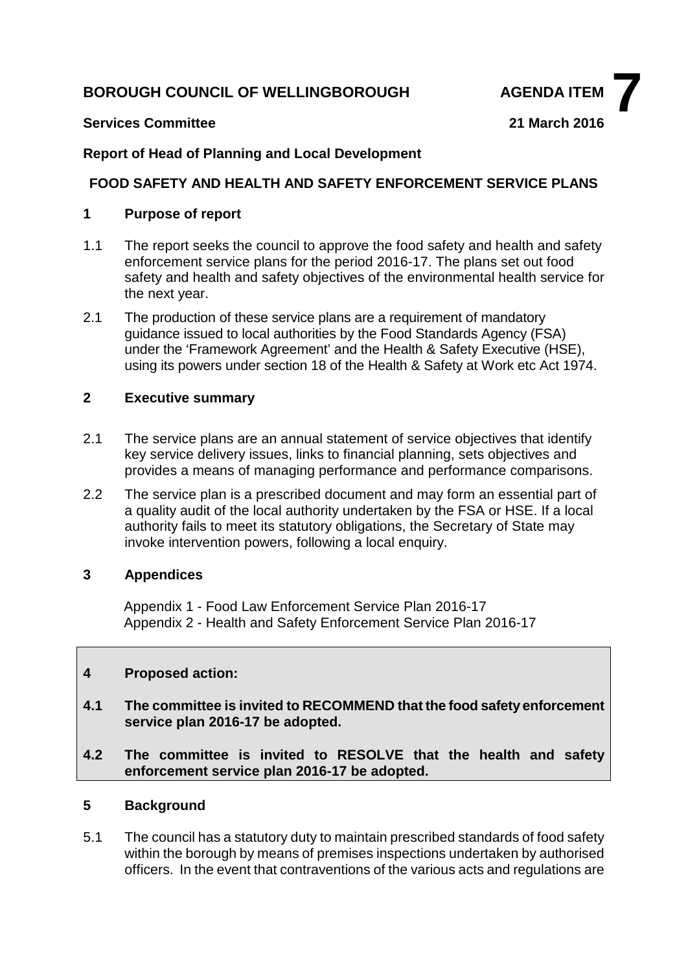# **BOROUGH COUNCIL OF WELLINGBOROUGH AGENDA ITEM**



### **Services Committee 21 March 2016**

# **Report of Head of Planning and Local Development**

### **FOOD SAFETY AND HEALTH AND SAFETY ENFORCEMENT SERVICE PLANS**

### **1 Purpose of report**

- 1.1 The report seeks the council to approve the food safety and health and safety enforcement service plans for the period 2016-17. The plans set out food safety and health and safety objectives of the environmental health service for the next year.
- 2.1 The production of these service plans are a requirement of mandatory guidance issued to local authorities by the Food Standards Agency (FSA) under the 'Framework Agreement' and the Health & Safety Executive (HSE), using its powers under section 18 of the Health & Safety at Work etc Act 1974.

# **2 Executive summary**

- 2.1 The service plans are an annual statement of service objectives that identify key service delivery issues, links to financial planning, sets objectives and provides a means of managing performance and performance comparisons.
- 2.2 The service plan is a prescribed document and may form an essential part of a quality audit of the local authority undertaken by the FSA or HSE. If a local authority fails to meet its statutory obligations, the Secretary of State may invoke intervention powers, following a local enquiry.

### **3 Appendices**

Appendix 1 - Food Law Enforcement Service Plan 2016-17 Appendix 2 - Health and Safety Enforcement Service Plan 2016-17

### **4 Proposed action:**

- **4.1 The committee is invited to RECOMMEND that the food safety enforcement service plan 2016-17 be adopted.**
- **4.2 The committee is invited to RESOLVE that the health and safety enforcement service plan 2016-17 be adopted.**

# **5 Background**

5.1 The council has a statutory duty to maintain prescribed standards of food safety within the borough by means of premises inspections undertaken by authorised officers. In the event that contraventions of the various acts and regulations are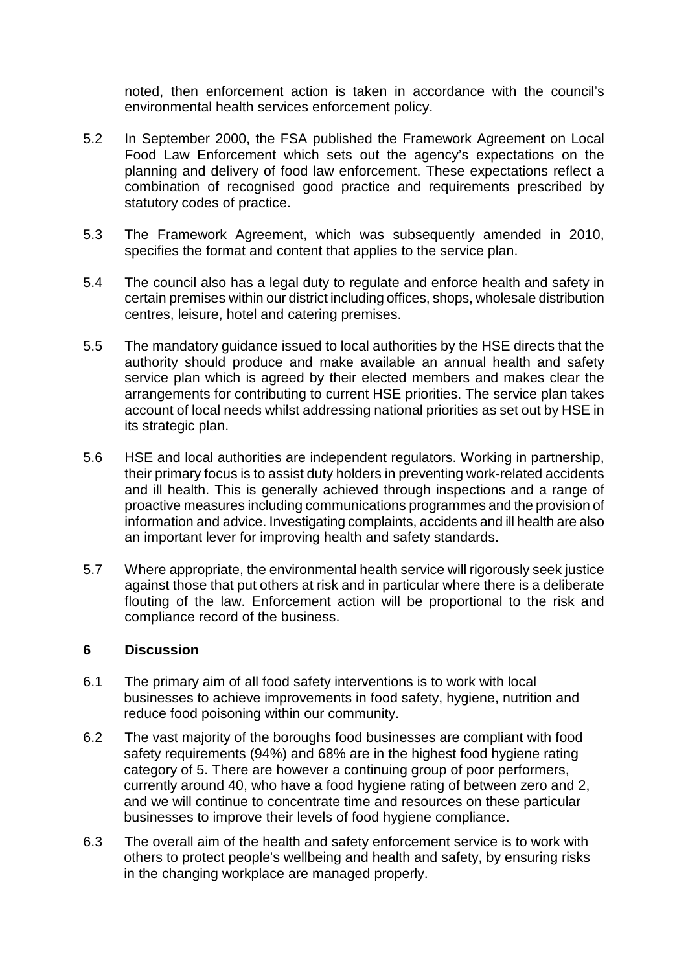noted, then enforcement action is taken in accordance with the council's environmental health services enforcement policy.

- 5.2 In September 2000, the FSA published the Framework Agreement on Local Food Law Enforcement which sets out the agency's expectations on the planning and delivery of food law enforcement. These expectations reflect a combination of recognised good practice and requirements prescribed by statutory codes of practice.
- 5.3 The Framework Agreement, which was subsequently amended in 2010, specifies the format and content that applies to the service plan.
- 5.4 The council also has a legal duty to regulate and enforce health and safety in certain premises within our district including offices, shops, wholesale distribution centres, leisure, hotel and catering premises.
- 5.5 The mandatory guidance issued to local authorities by the HSE directs that the authority should produce and make available an annual health and safety service plan which is agreed by their elected members and makes clear the arrangements for contributing to current HSE priorities. The service plan takes account of local needs whilst addressing national priorities as set out by HSE in its strategic plan.
- 5.6 HSE and local authorities are independent regulators. Working in partnership, their primary focus is to assist duty holders in preventing work-related accidents and ill health. This is generally achieved through inspections and a range of proactive measures including communications programmes and the provision of information and advice. Investigating complaints, accidents and ill health are also an important lever for improving health and safety standards.
- 5.7 Where appropriate, the environmental health service will rigorously seek justice against those that put others at risk and in particular where there is a deliberate flouting of the law. Enforcement action will be proportional to the risk and compliance record of the business.

### **6 Discussion**

- 6.1 The primary aim of all food safety interventions is to work with local businesses to achieve improvements in food safety, hygiene, nutrition and reduce food poisoning within our community.
- 6.2 The vast majority of the boroughs food businesses are compliant with food safety requirements (94%) and 68% are in the highest food hygiene rating category of 5. There are however a continuing group of poor performers, currently around 40, who have a food hygiene rating of between zero and 2, and we will continue to concentrate time and resources on these particular businesses to improve their levels of food hygiene compliance.
- 6.3 The overall aim of the health and safety enforcement service is to work with others to protect people's wellbeing and health and safety, by ensuring risks in the changing workplace are managed properly.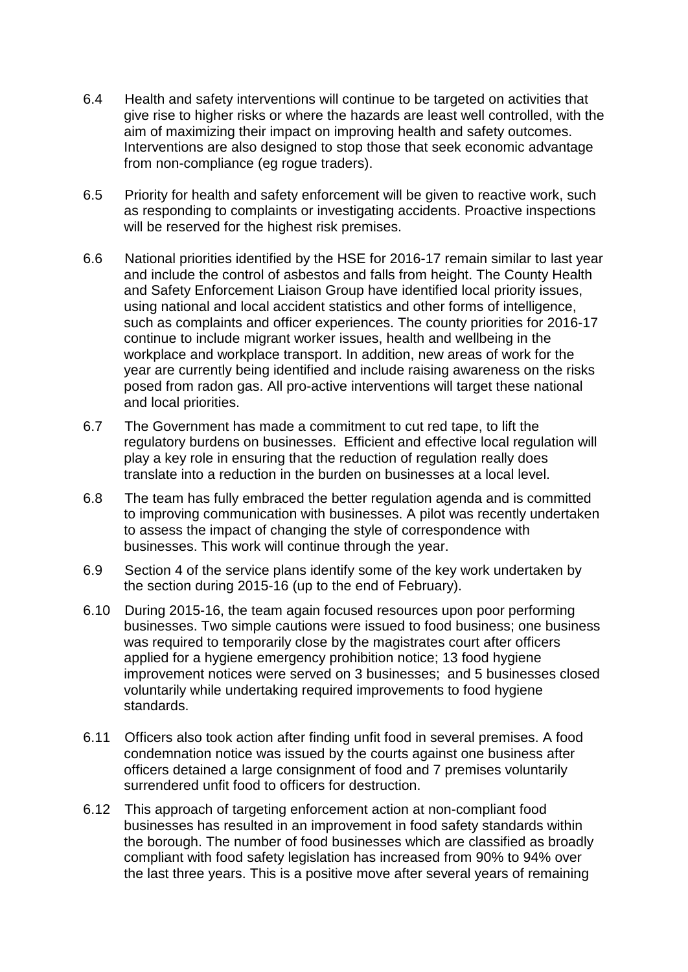- 6.4 Health and safety interventions will continue to be targeted on activities that give rise to higher risks or where the hazards are least well controlled, with the aim of maximizing their impact on improving health and safety outcomes. Interventions are also designed to stop those that seek economic advantage from non-compliance (eg rogue traders).
- 6.5 Priority for health and safety enforcement will be given to reactive work, such as responding to complaints or investigating accidents. Proactive inspections will be reserved for the highest risk premises.
- 6.6 National priorities identified by the HSE for 2016-17 remain similar to last year and include the control of asbestos and falls from height. The County Health and Safety Enforcement Liaison Group have identified local priority issues, using national and local accident statistics and other forms of intelligence, such as complaints and officer experiences. The county priorities for 2016-17 continue to include migrant worker issues, health and wellbeing in the workplace and workplace transport. In addition, new areas of work for the year are currently being identified and include raising awareness on the risks posed from radon gas. All pro-active interventions will target these national and local priorities.
- 6.7 The Government has made a commitment to cut red tape, to lift the regulatory burdens on businesses. Efficient and effective local regulation will play a key role in ensuring that the reduction of regulation really does translate into a reduction in the burden on businesses at a local level.
- 6.8 The team has fully embraced the better regulation agenda and is committed to improving communication with businesses. A pilot was recently undertaken to assess the impact of changing the style of correspondence with businesses. This work will continue through the year.
- 6.9 Section 4 of the service plans identify some of the key work undertaken by the section during 2015-16 (up to the end of February).
- 6.10 During 2015-16, the team again focused resources upon poor performing businesses. Two simple cautions were issued to food business; one business was required to temporarily close by the magistrates court after officers applied for a hygiene emergency prohibition notice; 13 food hygiene improvement notices were served on 3 businesses; and 5 businesses closed voluntarily while undertaking required improvements to food hygiene standards.
- 6.11 Officers also took action after finding unfit food in several premises. A food condemnation notice was issued by the courts against one business after officers detained a large consignment of food and 7 premises voluntarily surrendered unfit food to officers for destruction.
- 6.12 This approach of targeting enforcement action at non-compliant food businesses has resulted in an improvement in food safety standards within the borough. The number of food businesses which are classified as broadly compliant with food safety legislation has increased from 90% to 94% over the last three years. This is a positive move after several years of remaining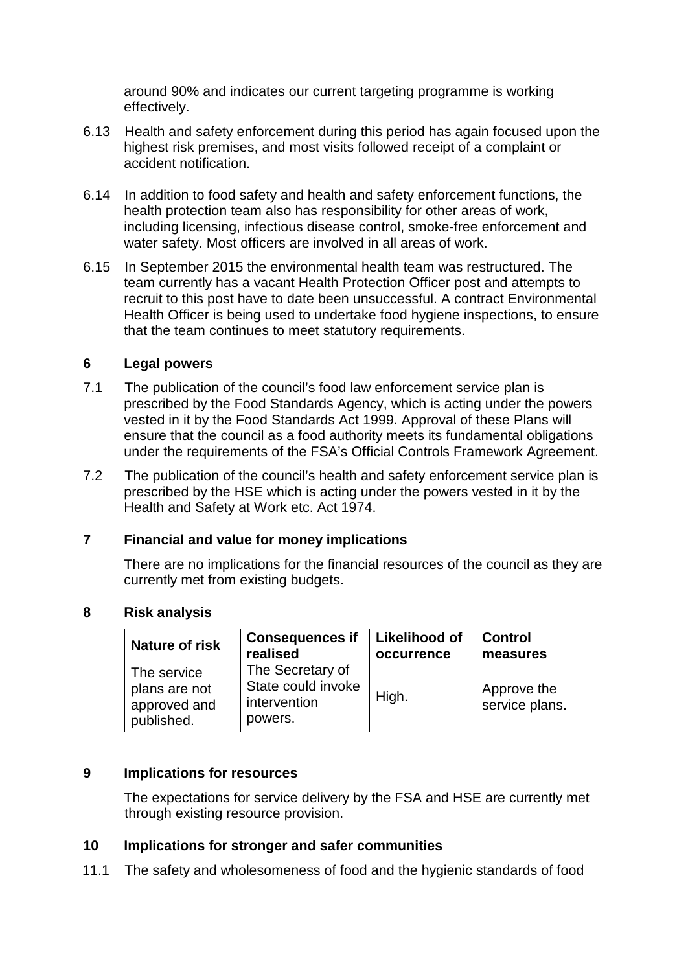around 90% and indicates our current targeting programme is working effectively.

- 6.13 Health and safety enforcement during this period has again focused upon the highest risk premises, and most visits followed receipt of a complaint or accident notification.
- 6.14 In addition to food safety and health and safety enforcement functions, the health protection team also has responsibility for other areas of work, including licensing, infectious disease control, smoke-free enforcement and water safety. Most officers are involved in all areas of work.
- 6.15 In September 2015 the environmental health team was restructured. The team currently has a vacant Health Protection Officer post and attempts to recruit to this post have to date been unsuccessful. A contract Environmental Health Officer is being used to undertake food hygiene inspections, to ensure that the team continues to meet statutory requirements.

### **6 Legal powers**

- 7.1 The publication of the council's food law enforcement service plan is prescribed by the Food Standards Agency, which is acting under the powers vested in it by the Food Standards Act 1999. Approval of these Plans will ensure that the council as a food authority meets its fundamental obligations under the requirements of the FSA's Official Controls Framework Agreement.
- 7.2 The publication of the council's health and safety enforcement service plan is prescribed by the HSE which is acting under the powers vested in it by the Health and Safety at Work etc. Act 1974.

### **7 Financial and value for money implications**

There are no implications for the financial resources of the council as they are currently met from existing budgets.

| <b>Nature of risk</b>                                      | <b>Consequences if</b>                                            | Likelihood of | <b>Control</b>                |
|------------------------------------------------------------|-------------------------------------------------------------------|---------------|-------------------------------|
|                                                            | realised                                                          | occurrence    | measures                      |
| The service<br>plans are not<br>approved and<br>published. | The Secretary of<br>State could invoke<br>intervention<br>powers. | High.         | Approve the<br>service plans. |

### **8 Risk analysis**

### **9 Implications for resources**

The expectations for service delivery by the FSA and HSE are currently met through existing resource provision.

### **10 Implications for stronger and safer communities**

11.1 The safety and wholesomeness of food and the hygienic standards of food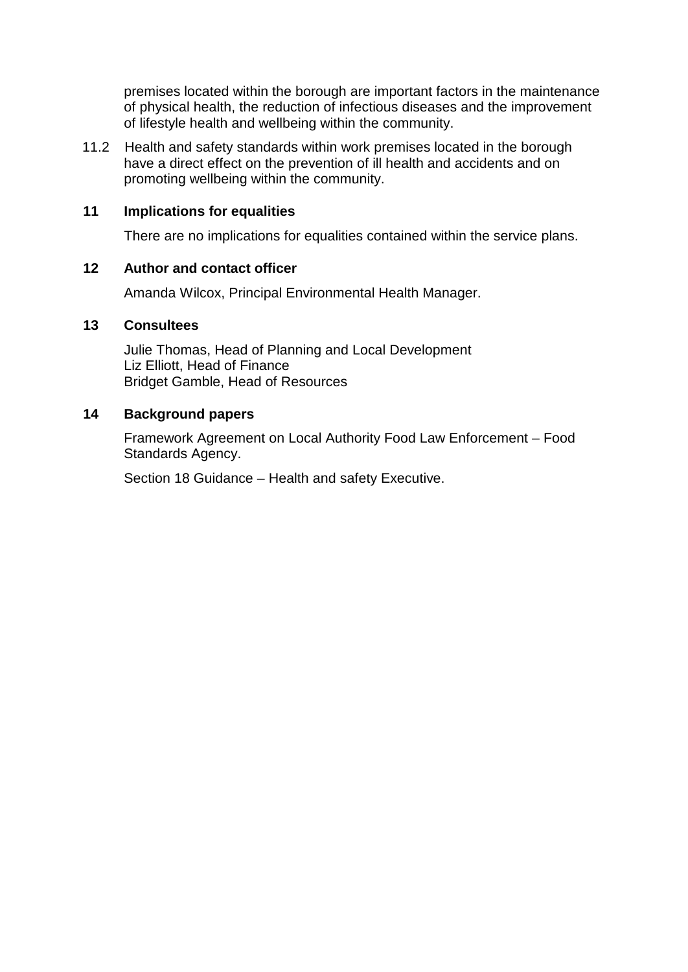premises located within the borough are important factors in the maintenance of physical health, the reduction of infectious diseases and the improvement of lifestyle health and wellbeing within the community.

11.2 Health and safety standards within work premises located in the borough have a direct effect on the prevention of ill health and accidents and on promoting wellbeing within the community.

### **11 Implications for equalities**

There are no implications for equalities contained within the service plans.

### **12 Author and contact officer**

Amanda Wilcox, Principal Environmental Health Manager.

### **13 Consultees**

Julie Thomas, Head of Planning and Local Development Liz Elliott, Head of Finance Bridget Gamble, Head of Resources

### **14 Background papers**

Framework Agreement on Local Authority Food Law Enforcement – Food Standards Agency.

Section 18 Guidance – Health and safety Executive.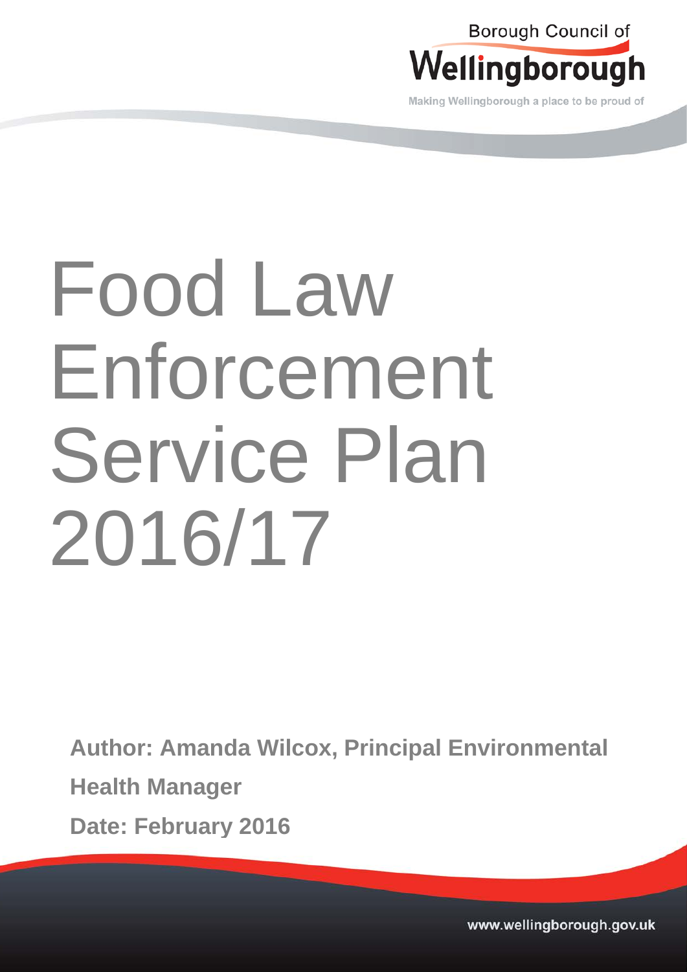

Making Wellingborough a place to be proud of

# Food Law Enforcement Service Plan 2016/17

**Author: Amanda Wilcox, Principal Environmental** 

**Health Manager**

**Date: February 2016**

www.wellingborough.gov.uk Tel: 01933 22977 DX 12977 DX 12977 DX 12977 DX 12877 DX 12877 Www.wellingborough.gov.uk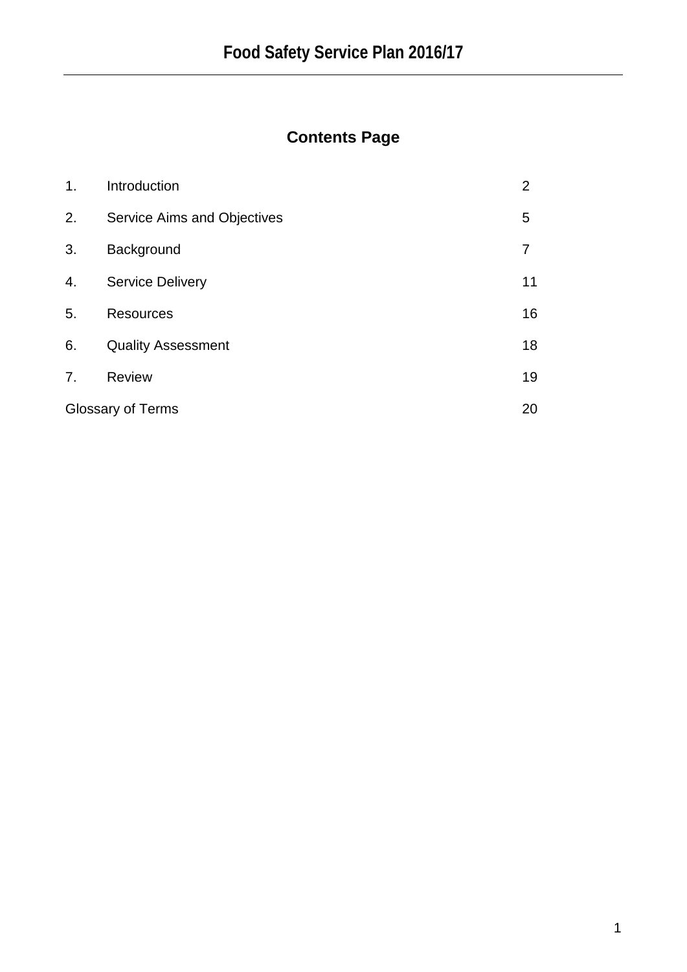# **Contents Page**

| 1.                       | Introduction                | 2  |
|--------------------------|-----------------------------|----|
| 2.                       | Service Aims and Objectives | 5  |
| 3.                       | Background                  |    |
| 4.                       | <b>Service Delivery</b>     | 11 |
| 5.                       | <b>Resources</b>            | 16 |
| 6.                       | <b>Quality Assessment</b>   | 18 |
| 7.                       | <b>Review</b>               | 19 |
| <b>Glossary of Terms</b> |                             | 20 |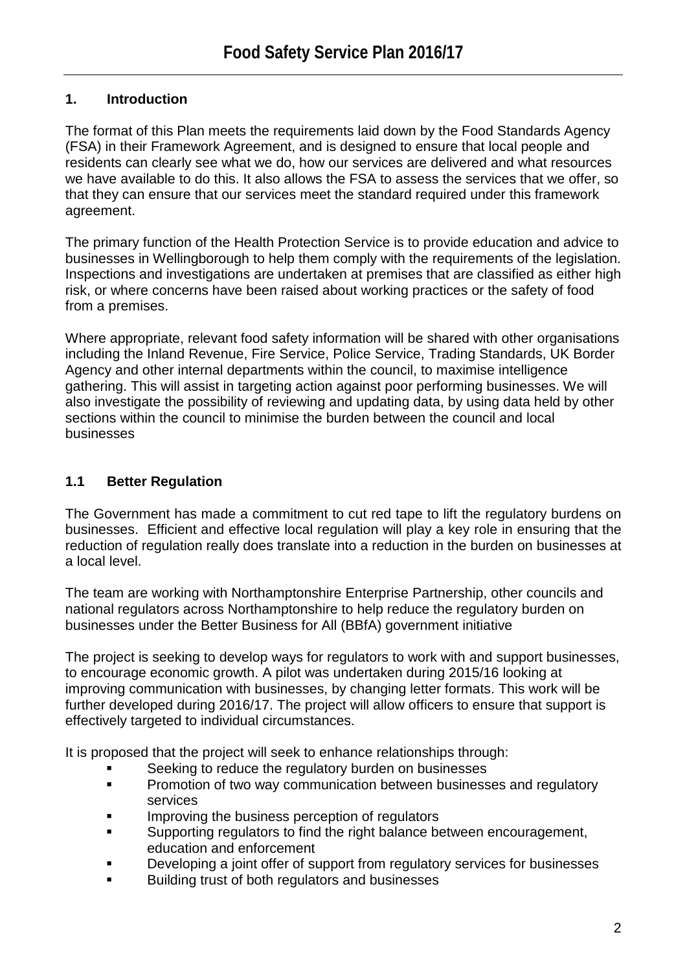# **1. Introduction**

The format of this Plan meets the requirements laid down by the Food Standards Agency (FSA) in their Framework Agreement, and is designed to ensure that local people and residents can clearly see what we do, how our services are delivered and what resources we have available to do this. It also allows the FSA to assess the services that we offer, so that they can ensure that our services meet the standard required under this framework agreement.

The primary function of the Health Protection Service is to provide education and advice to businesses in Wellingborough to help them comply with the requirements of the legislation. Inspections and investigations are undertaken at premises that are classified as either high risk, or where concerns have been raised about working practices or the safety of food from a premises.

Where appropriate, relevant food safety information will be shared with other organisations including the Inland Revenue, Fire Service, Police Service, Trading Standards, UK Border Agency and other internal departments within the council, to maximise intelligence gathering. This will assist in targeting action against poor performing businesses. We will also investigate the possibility of reviewing and updating data, by using data held by other sections within the council to minimise the burden between the council and local businesses

# **1.1 Better Regulation**

The Government has made a commitment to cut red tape to lift the regulatory burdens on businesses. Efficient and effective local regulation will play a key role in ensuring that the reduction of regulation really does translate into a reduction in the burden on businesses at a local level.

The team are working with Northamptonshire Enterprise Partnership, other councils and national regulators across Northamptonshire to help reduce the regulatory burden on businesses under the Better Business for All (BBfA) government initiative

The project is seeking to develop ways for regulators to work with and support businesses, to encourage economic growth. A pilot was undertaken during 2015/16 looking at improving communication with businesses, by changing letter formats. This work will be further developed during 2016/17. The project will allow officers to ensure that support is effectively targeted to individual circumstances.

It is proposed that the project will seek to enhance relationships through:

- Seeking to reduce the regulatory burden on businesses
- Promotion of two way communication between businesses and regulatory services
- Improving the business perception of regulators
- **Supporting regulators to find the right balance between encouragement,** education and enforcement
- Developing a joint offer of support from regulatory services for businesses
- Building trust of both regulators and businesses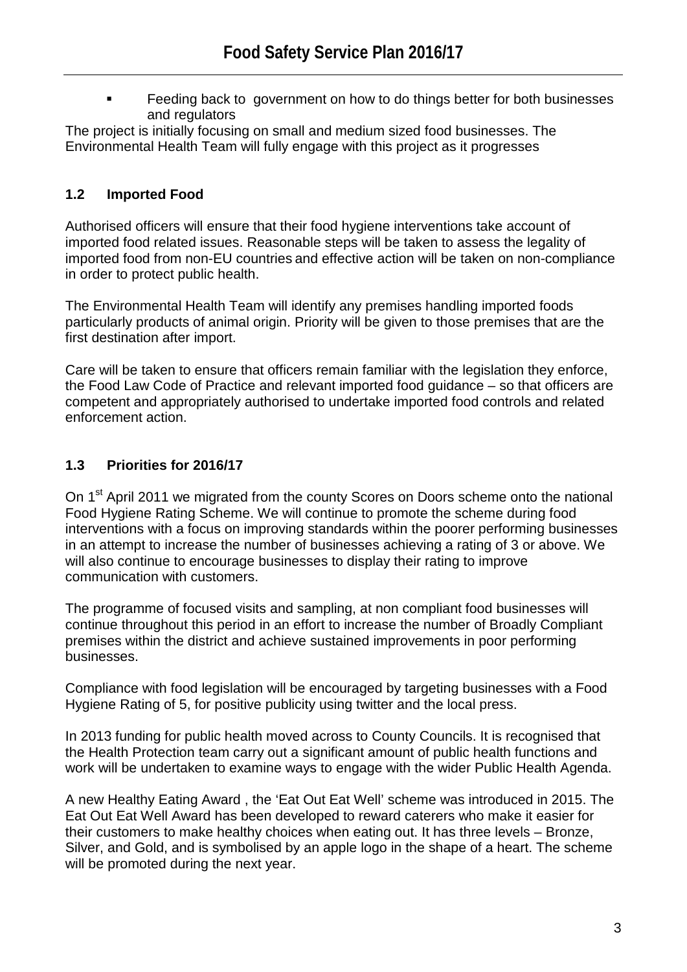Feeding back to government on how to do things better for both businesses and regulators

The project is initially focusing on small and medium sized food businesses. The Environmental Health Team will fully engage with this project as it progresses

# **1.2 Imported Food**

Authorised officers will ensure that their food hygiene interventions take account of imported food related issues. Reasonable steps will be taken to assess the legality of imported food from non-EU countries and effective action will be taken on non-compliance in order to protect public health.

The Environmental Health Team will identify any premises handling imported foods particularly products of animal origin. Priority will be given to those premises that are the first destination after import.

Care will be taken to ensure that officers remain familiar with the legislation they enforce, the Food Law Code of Practice and relevant imported food guidance – so that officers are competent and appropriately authorised to undertake imported food controls and related enforcement action.

# **1.3 Priorities for 2016/17**

On 1<sup>st</sup> April 2011 we migrated from the county Scores on Doors scheme onto the national Food Hygiene Rating Scheme. We will continue to promote the scheme during food interventions with a focus on improving standards within the poorer performing businesses in an attempt to increase the number of businesses achieving a rating of 3 or above. We will also continue to encourage businesses to display their rating to improve communication with customers.

The programme of focused visits and sampling, at non compliant food businesses will continue throughout this period in an effort to increase the number of Broadly Compliant premises within the district and achieve sustained improvements in poor performing businesses.

Compliance with food legislation will be encouraged by targeting businesses with a Food Hygiene Rating of 5, for positive publicity using twitter and the local press.

In 2013 funding for public health moved across to County Councils. It is recognised that the Health Protection team carry out a significant amount of public health functions and work will be undertaken to examine ways to engage with the wider Public Health Agenda.

A new Healthy Eating Award , the 'Eat Out Eat Well' scheme was introduced in 2015. The Eat Out Eat Well Award has been developed to reward caterers who make it easier for their customers to make healthy choices when eating out. It has three levels – Bronze, Silver, and Gold, and is symbolised by an apple logo in the shape of a heart. The scheme will be promoted during the next year.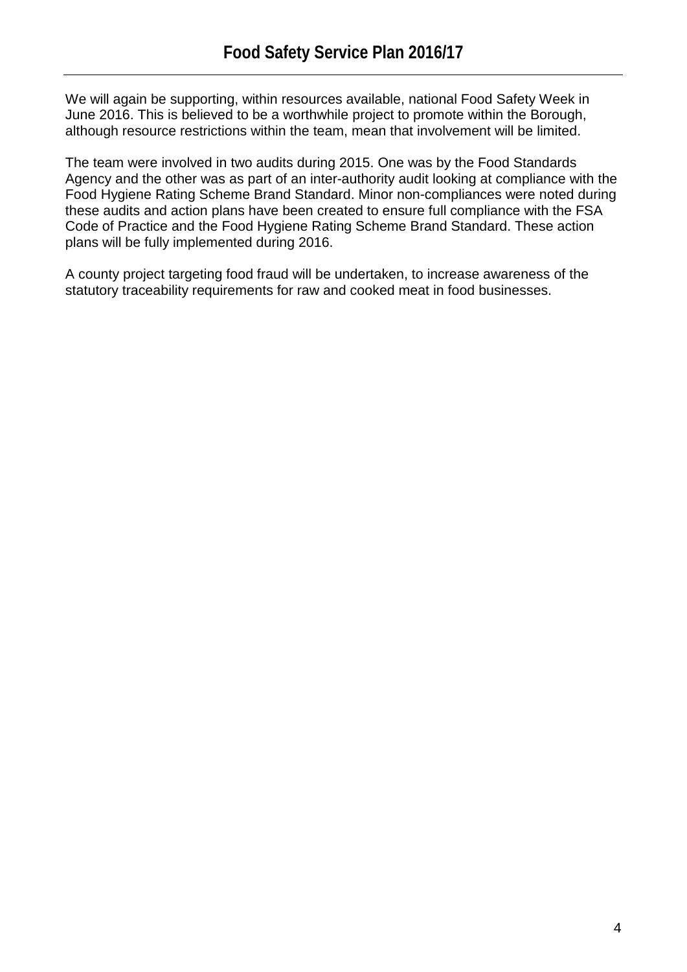We will again be supporting, within resources available, national Food Safety Week in June 2016. This is believed to be a worthwhile project to promote within the Borough, although resource restrictions within the team, mean that involvement will be limited.

The team were involved in two audits during 2015. One was by the Food Standards Agency and the other was as part of an inter-authority audit looking at compliance with the Food Hygiene Rating Scheme Brand Standard. Minor non-compliances were noted during these audits and action plans have been created to ensure full compliance with the FSA Code of Practice and the Food Hygiene Rating Scheme Brand Standard. These action plans will be fully implemented during 2016.

A county project targeting food fraud will be undertaken, to increase awareness of the statutory traceability requirements for raw and cooked meat in food businesses.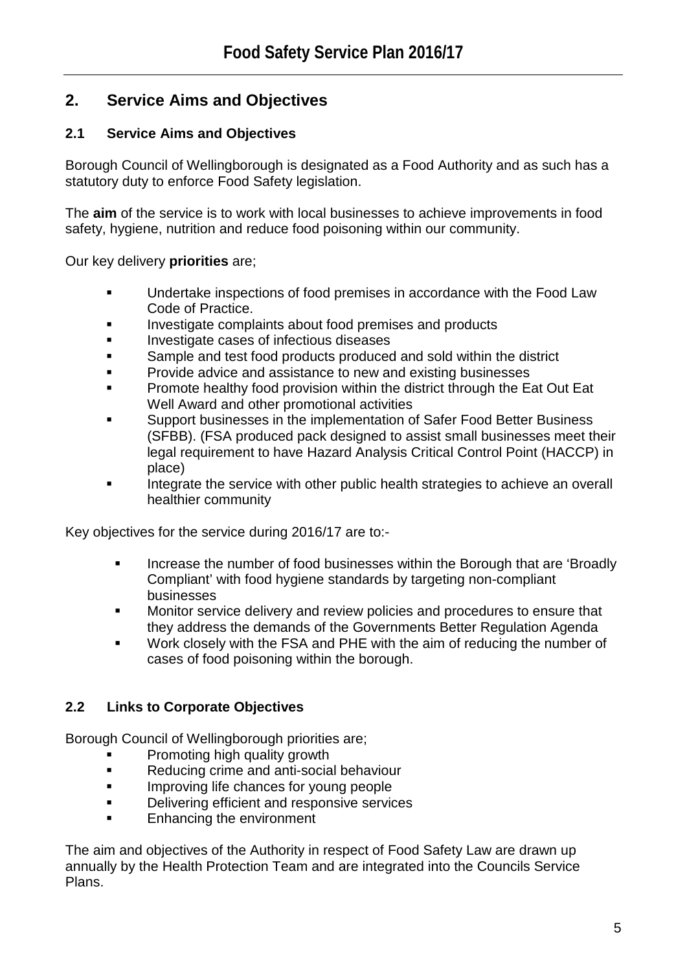# **2. Service Aims and Objectives**

# **2.1 Service Aims and Objectives**

Borough Council of Wellingborough is designated as a Food Authority and as such has a statutory duty to enforce Food Safety legislation.

The **aim** of the service is to work with local businesses to achieve improvements in food safety, hygiene, nutrition and reduce food poisoning within our community.

Our key delivery **priorities** are;

- **Undertake inspections of food premises in accordance with the Food Law** Code of Practice.
- Investigate complaints about food premises and products
- Investigate cases of infectious diseases
- Sample and test food products produced and sold within the district
- Provide advice and assistance to new and existing businesses
- Promote healthy food provision within the district through the Eat Out Eat Well Award and other promotional activities
- Support businesses in the implementation of Safer Food Better Business (SFBB). (FSA produced pack designed to assist small businesses meet their legal requirement to have Hazard Analysis Critical Control Point (HACCP) in place)
- Integrate the service with other public health strategies to achieve an overall healthier community

Key objectives for the service during 2016/17 are to:-

- Increase the number of food businesses within the Borough that are 'Broadly Compliant' with food hygiene standards by targeting non-compliant businesses
- **Monitor service delivery and review policies and procedures to ensure that** they address the demands of the Governments Better Regulation Agenda
- Work closely with the FSA and PHE with the aim of reducing the number of cases of food poisoning within the borough.

# **2.2 Links to Corporate Objectives**

Borough Council of Wellingborough priorities are;

- Promoting high quality growth
- Reducing crime and anti-social behaviour
- **IMPROVING LIFE CHANCES FOR YOUNG PEOPLE**
- **Delivering efficient and responsive services**
- Enhancing the environment

The aim and objectives of the Authority in respect of Food Safety Law are drawn up annually by the Health Protection Team and are integrated into the Councils Service Plans.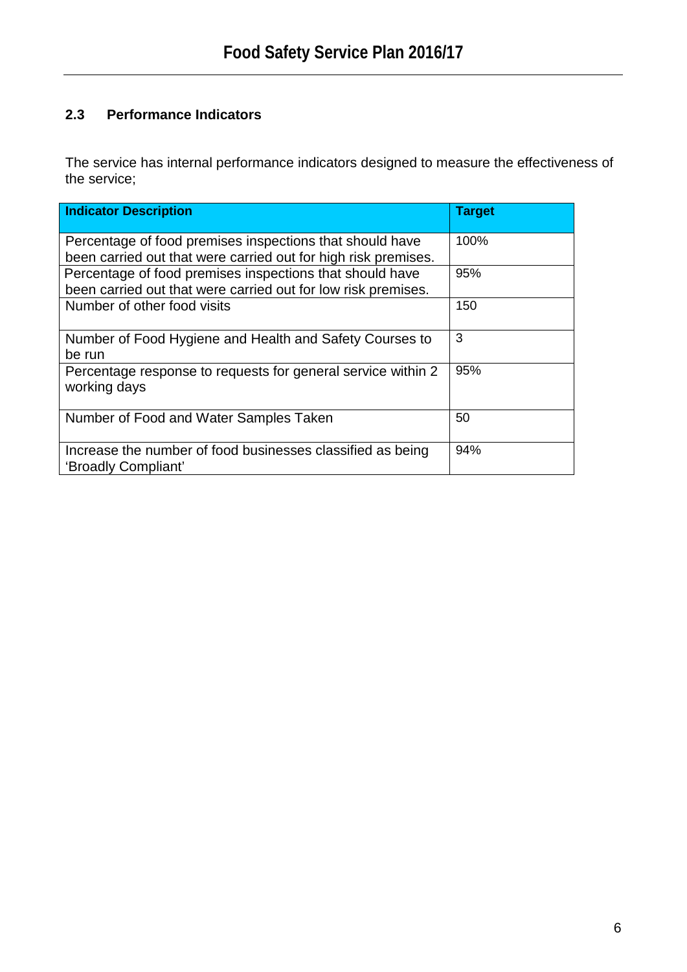# **2.3 Performance Indicators**

The service has internal performance indicators designed to measure the effectiveness of the service;

| <b>Indicator Description</b>                                                                                               | <b>Target</b> |
|----------------------------------------------------------------------------------------------------------------------------|---------------|
| Percentage of food premises inspections that should have<br>been carried out that were carried out for high risk premises. | 100%          |
| Percentage of food premises inspections that should have<br>been carried out that were carried out for low risk premises.  | 95%           |
| Number of other food visits                                                                                                | 150           |
| Number of Food Hygiene and Health and Safety Courses to<br>be run                                                          | 3             |
| Percentage response to requests for general service within 2<br>working days                                               | 95%           |
| Number of Food and Water Samples Taken                                                                                     | 50            |
| Increase the number of food businesses classified as being<br>'Broadly Compliant'                                          | 94%           |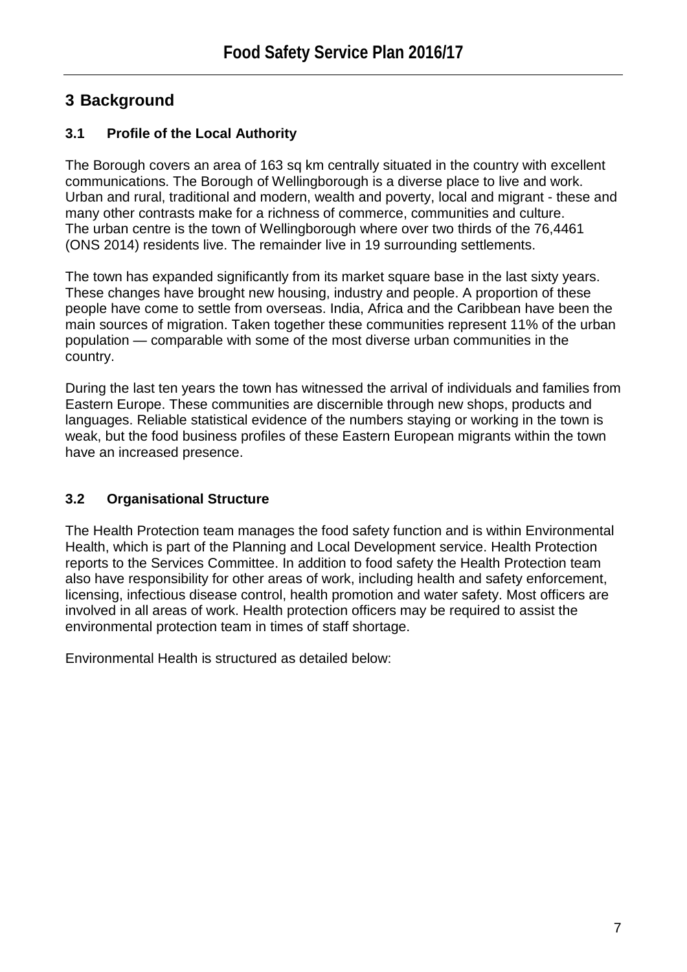# **3 Background**

# **3.1 Profile of the Local Authority**

The Borough covers an area of 163 sq km centrally situated in the country with excellent communications. The Borough of Wellingborough is a diverse place to live and work. Urban and rural, traditional and modern, wealth and poverty, local and migrant - these and many other contrasts make for a richness of commerce, communities and culture. The urban centre is the town of Wellingborough where over two thirds of the 76,4461 (ONS 2014) residents live. The remainder live in 19 surrounding settlements.

The town has expanded significantly from its market square base in the last sixty years. These changes have brought new housing, industry and people. A proportion of these people have come to settle from overseas. India, Africa and the Caribbean have been the main sources of migration. Taken together these communities represent 11% of the urban population — comparable with some of the most diverse urban communities in the country.

During the last ten years the town has witnessed the arrival of individuals and families from Eastern Europe. These communities are discernible through new shops, products and languages. Reliable statistical evidence of the numbers staying or working in the town is weak, but the food business profiles of these Eastern European migrants within the town have an increased presence.

# **3.2 Organisational Structure**

The Health Protection team manages the food safety function and is within Environmental Health, which is part of the Planning and Local Development service. Health Protection reports to the Services Committee. In addition to food safety the Health Protection team also have responsibility for other areas of work, including health and safety enforcement, licensing, infectious disease control, health promotion and water safety. Most officers are involved in all areas of work. Health protection officers may be required to assist the environmental protection team in times of staff shortage.

Environmental Health is structured as detailed below: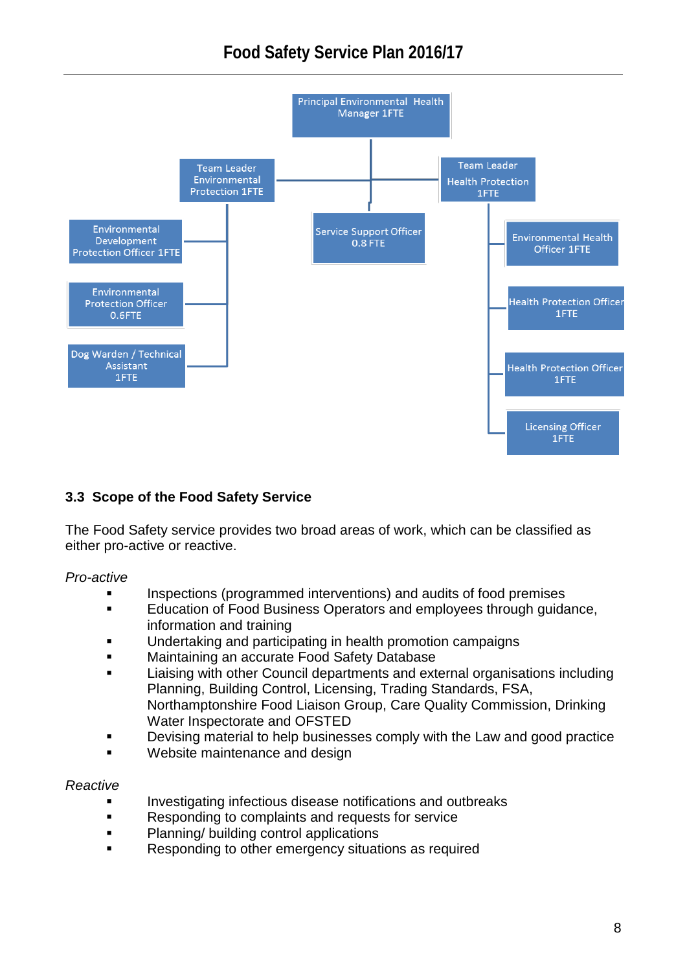

# **3.3 Scope of the Food Safety Service**

The Food Safety service provides two broad areas of work, which can be classified as either pro-active or reactive.

*Pro-active*

- Inspections (programmed interventions) and audits of food premises
- Education of Food Business Operators and employees through guidance, information and training
- Undertaking and participating in health promotion campaigns
- **Maintaining an accurate Food Safety Database**
- Liaising with other Council departments and external organisations including Planning, Building Control, Licensing, Trading Standards, FSA, Northamptonshire Food Liaison Group, Care Quality Commission, Drinking Water Inspectorate and OFSTED
- **Devising material to help businesses comply with the Law and good practice**
- Website maintenance and design

### *Reactive*

- Investigating infectious disease notifications and outbreaks
- **Responding to complaints and requests for service**
- Planning/ building control applications
- Responding to other emergency situations as required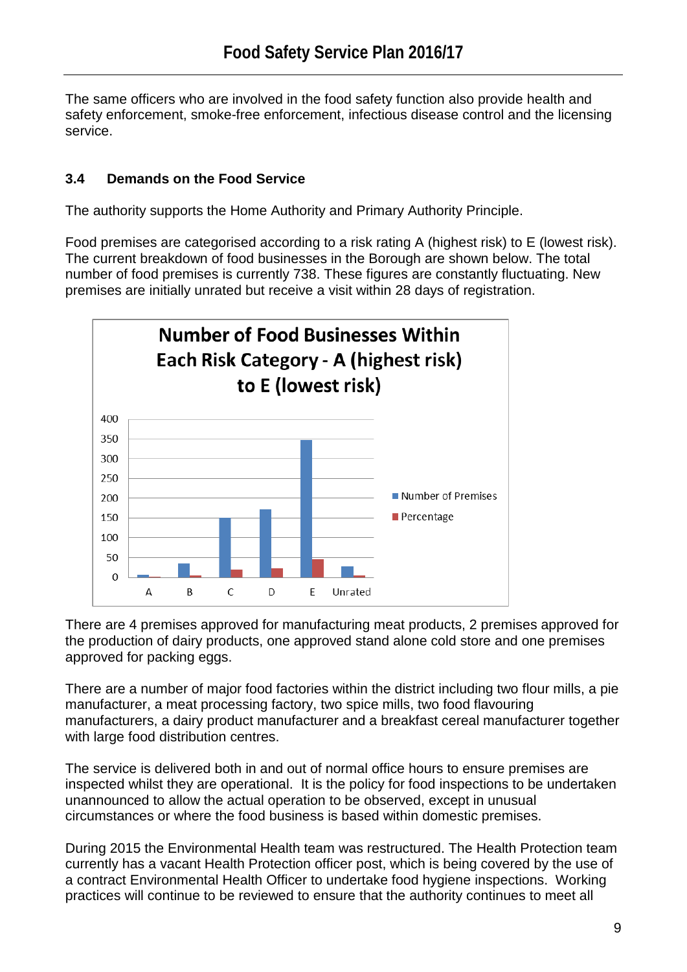The same officers who are involved in the food safety function also provide health and safety enforcement, smoke-free enforcement, infectious disease control and the licensing service.

# **3.4 Demands on the Food Service**

The authority supports the Home Authority and Primary Authority Principle.

Food premises are categorised according to a risk rating A (highest risk) to E (lowest risk). The current breakdown of food businesses in the Borough are shown below. The total number of food premises is currently 738. These figures are constantly fluctuating. New premises are initially unrated but receive a visit within 28 days of registration.



There are 4 premises approved for manufacturing meat products, 2 premises approved for the production of dairy products, one approved stand alone cold store and one premises approved for packing eggs.

There are a number of major food factories within the district including two flour mills, a pie manufacturer, a meat processing factory, two spice mills, two food flavouring manufacturers, a dairy product manufacturer and a breakfast cereal manufacturer together with large food distribution centres.

The service is delivered both in and out of normal office hours to ensure premises are inspected whilst they are operational. It is the policy for food inspections to be undertaken unannounced to allow the actual operation to be observed, except in unusual circumstances or where the food business is based within domestic premises.

During 2015 the Environmental Health team was restructured. The Health Protection team currently has a vacant Health Protection officer post, which is being covered by the use of a contract Environmental Health Officer to undertake food hygiene inspections. Working practices will continue to be reviewed to ensure that the authority continues to meet all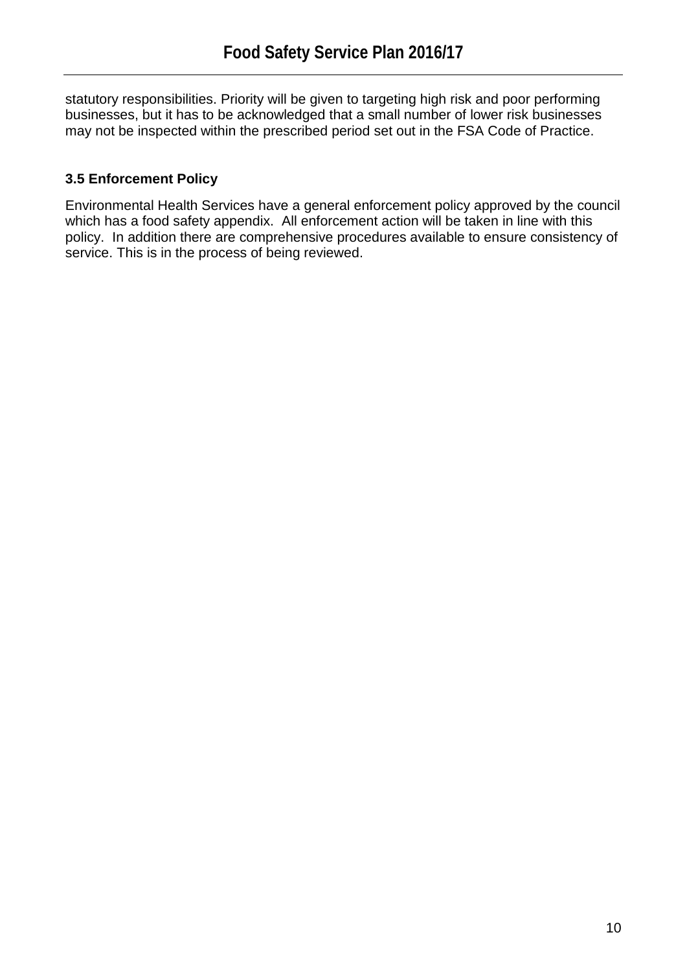statutory responsibilities. Priority will be given to targeting high risk and poor performing businesses, but it has to be acknowledged that a small number of lower risk businesses may not be inspected within the prescribed period set out in the FSA Code of Practice.

# **3.5 Enforcement Policy**

Environmental Health Services have a general enforcement policy approved by the council which has a food safety appendix. All enforcement action will be taken in line with this policy. In addition there are comprehensive procedures available to ensure consistency of service. This is in the process of being reviewed.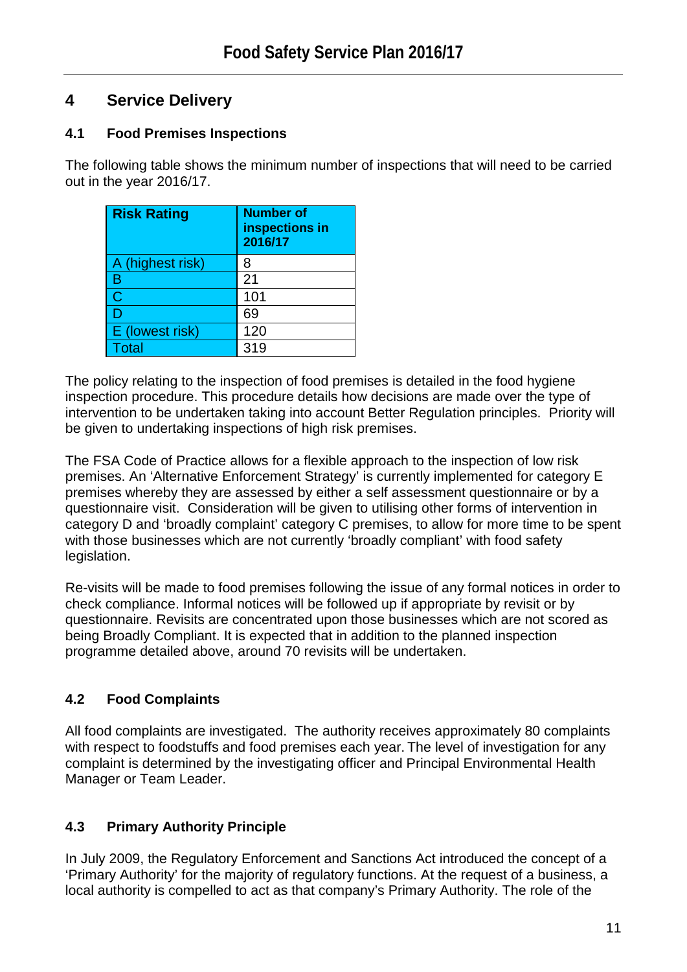# **4 Service Delivery**

# **4.1 Food Premises Inspections**

The following table shows the minimum number of inspections that will need to be carried out in the year 2016/17.

| <b>Risk Rating</b> | <b>Number of</b><br>inspections in<br>2016/17 |
|--------------------|-----------------------------------------------|
| A (highest risk)   | 8                                             |
| B                  | 21                                            |
| Ć                  | 101                                           |
| D                  | 69                                            |
| E (lowest risk)    | 120                                           |
| <b>Total</b>       | 319                                           |

The policy relating to the inspection of food premises is detailed in the food hygiene inspection procedure. This procedure details how decisions are made over the type of intervention to be undertaken taking into account Better Regulation principles. Priority will be given to undertaking inspections of high risk premises.

The FSA Code of Practice allows for a flexible approach to the inspection of low risk premises. An 'Alternative Enforcement Strategy' is currently implemented for category E premises whereby they are assessed by either a self assessment questionnaire or by a questionnaire visit. Consideration will be given to utilising other forms of intervention in category D and 'broadly complaint' category C premises, to allow for more time to be spent with those businesses which are not currently 'broadly compliant' with food safety legislation.

Re-visits will be made to food premises following the issue of any formal notices in order to check compliance. Informal notices will be followed up if appropriate by revisit or by questionnaire. Revisits are concentrated upon those businesses which are not scored as being Broadly Compliant. It is expected that in addition to the planned inspection programme detailed above, around 70 revisits will be undertaken.

# **4.2 Food Complaints**

All food complaints are investigated. The authority receives approximately 80 complaints with respect to foodstuffs and food premises each year. The level of investigation for any complaint is determined by the investigating officer and Principal Environmental Health Manager or Team Leader.

# **4.3 Primary Authority Principle**

In July 2009, the Regulatory Enforcement and Sanctions Act introduced the concept of a 'Primary Authority' for the majority of regulatory functions. At the request of a business, a local authority is compelled to act as that company's Primary Authority. The role of the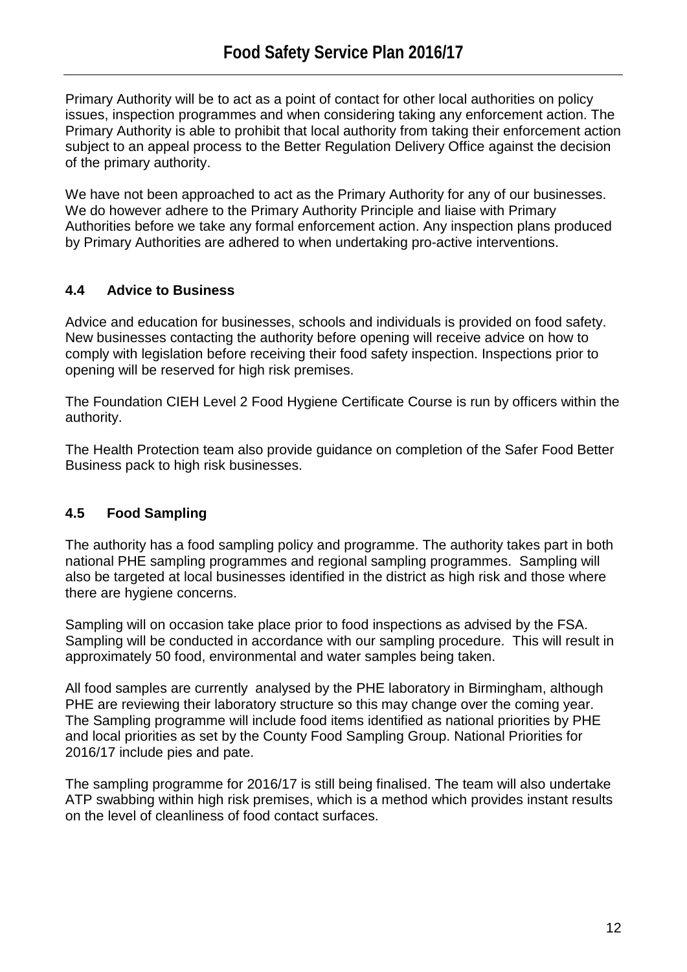Primary Authority will be to act as a point of contact for other local authorities on policy issues, inspection programmes and when considering taking any enforcement action. The Primary Authority is able to prohibit that local authority from taking their enforcement action subject to an appeal process to the Better Regulation Delivery Office against the decision of the primary authority.

We have not been approached to act as the Primary Authority for any of our businesses. We do however adhere to the Primary Authority Principle and liaise with Primary Authorities before we take any formal enforcement action. Any inspection plans produced by Primary Authorities are adhered to when undertaking pro-active interventions.

# **4.4 Advice to Business**

Advice and education for businesses, schools and individuals is provided on food safety. New businesses contacting the authority before opening will receive advice on how to comply with legislation before receiving their food safety inspection. Inspections prior to opening will be reserved for high risk premises.

The Foundation CIEH Level 2 Food Hygiene Certificate Course is run by officers within the authority.

The Health Protection team also provide guidance on completion of the Safer Food Better Business pack to high risk businesses.

# **4.5 Food Sampling**

The authority has a food sampling policy and programme. The authority takes part in both national PHE sampling programmes and regional sampling programmes. Sampling will also be targeted at local businesses identified in the district as high risk and those where there are hygiene concerns.

Sampling will on occasion take place prior to food inspections as advised by the FSA. Sampling will be conducted in accordance with our sampling procedure. This will result in approximately 50 food, environmental and water samples being taken.

All food samples are currently analysed by the PHE laboratory in Birmingham, although PHE are reviewing their laboratory structure so this may change over the coming year. The Sampling programme will include food items identified as national priorities by PHE and local priorities as set by the County Food Sampling Group. National Priorities for 2016/17 include pies and pate.

The sampling programme for 2016/17 is still being finalised. The team will also undertake ATP swabbing within high risk premises, which is a method which provides instant results on the level of cleanliness of food contact surfaces.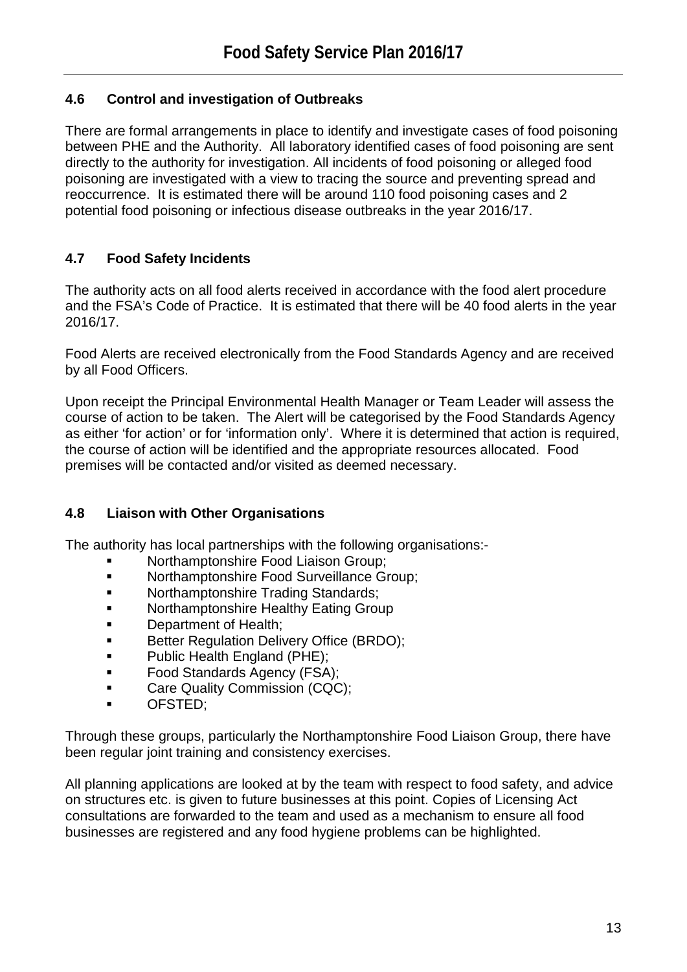# **4.6 Control and investigation of Outbreaks**

There are formal arrangements in place to identify and investigate cases of food poisoning between PHE and the Authority. All laboratory identified cases of food poisoning are sent directly to the authority for investigation. All incidents of food poisoning or alleged food poisoning are investigated with a view to tracing the source and preventing spread and reoccurrence. It is estimated there will be around 110 food poisoning cases and 2 potential food poisoning or infectious disease outbreaks in the year 2016/17.

# **4.7 Food Safety Incidents**

The authority acts on all food alerts received in accordance with the food alert procedure and the FSA's Code of Practice. It is estimated that there will be 40 food alerts in the year 2016/17.

Food Alerts are received electronically from the Food Standards Agency and are received by all Food Officers.

Upon receipt the Principal Environmental Health Manager or Team Leader will assess the course of action to be taken. The Alert will be categorised by the Food Standards Agency as either 'for action' or for 'information only'. Where it is determined that action is required, the course of action will be identified and the appropriate resources allocated. Food premises will be contacted and/or visited as deemed necessary.

# **4.8 Liaison with Other Organisations**

The authority has local partnerships with the following organisations:-

- Northamptonshire Food Liaison Group;
- **Northamptonshire Food Surveillance Group;**
- **Northamptonshire Trading Standards;**
- Northamptonshire Healthy Eating Group
- Department of Health;
- **Better Requlation Delivery Office (BRDO);**
- **Public Health England (PHE);**
- **Food Standards Agency (FSA);**
- Care Quality Commission (CQC);
- OFSTED;

Through these groups, particularly the Northamptonshire Food Liaison Group, there have been regular joint training and consistency exercises.

All planning applications are looked at by the team with respect to food safety, and advice on structures etc. is given to future businesses at this point. Copies of Licensing Act consultations are forwarded to the team and used as a mechanism to ensure all food businesses are registered and any food hygiene problems can be highlighted.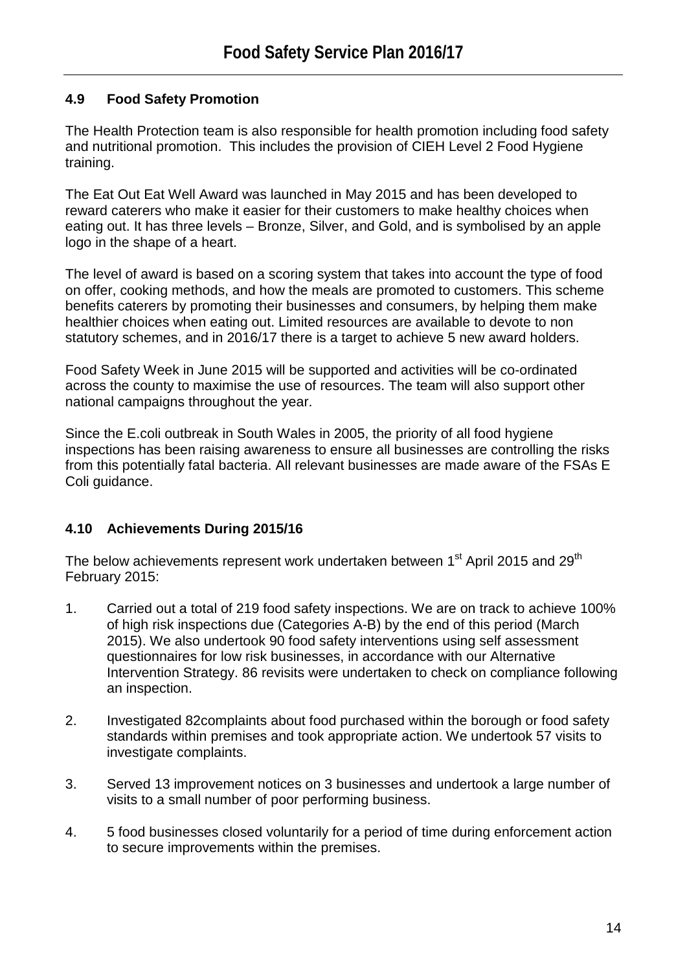# **4.9 Food Safety Promotion**

The Health Protection team is also responsible for health promotion including food safety and nutritional promotion. This includes the provision of CIEH Level 2 Food Hygiene training.

The Eat Out Eat Well Award was launched in May 2015 and has been developed to reward caterers who make it easier for their customers to make healthy choices when eating out. It has three levels – Bronze, Silver, and Gold, and is symbolised by an apple logo in the shape of a heart.

The level of award is based on a scoring system that takes into account the type of food on offer, cooking methods, and how the meals are promoted to customers. This scheme benefits caterers by promoting their businesses and consumers, by helping them make healthier choices when eating out. Limited resources are available to devote to non statutory schemes, and in 2016/17 there is a target to achieve 5 new award holders.

Food Safety Week in June 2015 will be supported and activities will be co-ordinated across the county to maximise the use of resources. The team will also support other national campaigns throughout the year.

Since the E.coli outbreak in South Wales in 2005, the priority of all food hygiene inspections has been raising awareness to ensure all businesses are controlling the risks from this potentially fatal bacteria. All relevant businesses are made aware of the FSAs E Coli guidance.

# **4.10 Achievements During 2015/16**

The below achievements represent work undertaken between 1<sup>st</sup> April 2015 and 29<sup>th</sup> February 2015:

- 1. Carried out a total of 219 food safety inspections. We are on track to achieve 100% of high risk inspections due (Categories A-B) by the end of this period (March 2015). We also undertook 90 food safety interventions using self assessment questionnaires for low risk businesses, in accordance with our Alternative Intervention Strategy. 86 revisits were undertaken to check on compliance following an inspection.
- 2. Investigated 82complaints about food purchased within the borough or food safety standards within premises and took appropriate action. We undertook 57 visits to investigate complaints.
- 3. Served 13 improvement notices on 3 businesses and undertook a large number of visits to a small number of poor performing business.
- 4. 5 food businesses closed voluntarily for a period of time during enforcement action to secure improvements within the premises.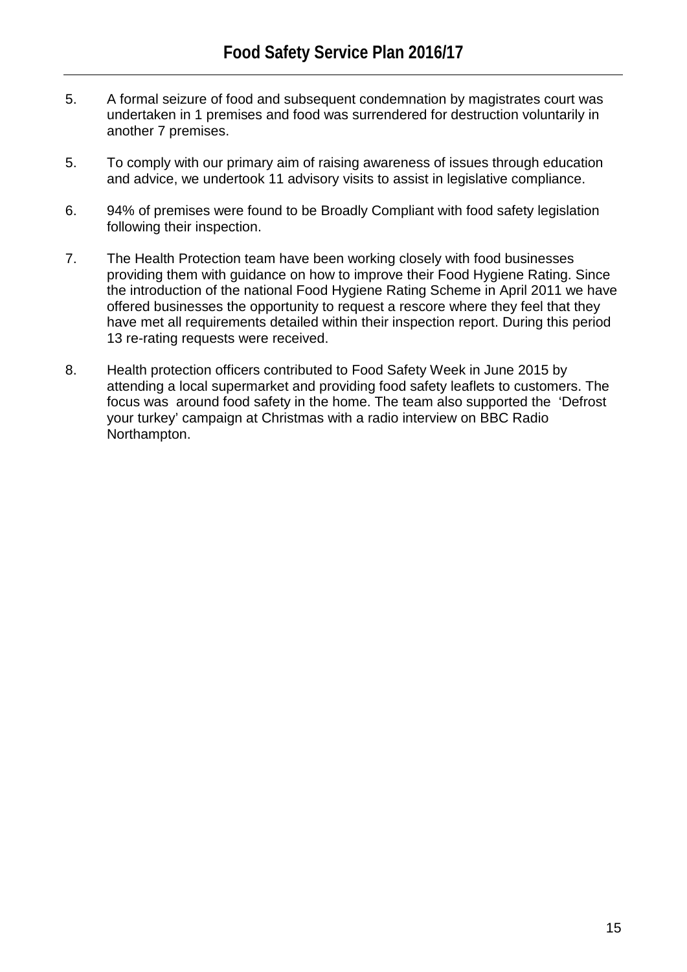- 5. A formal seizure of food and subsequent condemnation by magistrates court was undertaken in 1 premises and food was surrendered for destruction voluntarily in another 7 premises.
- 5. To comply with our primary aim of raising awareness of issues through education and advice, we undertook 11 advisory visits to assist in legislative compliance.
- 6. 94% of premises were found to be Broadly Compliant with food safety legislation following their inspection.
- 7. The Health Protection team have been working closely with food businesses providing them with guidance on how to improve their Food Hygiene Rating. Since the introduction of the national Food Hygiene Rating Scheme in April 2011 we have offered businesses the opportunity to request a rescore where they feel that they have met all requirements detailed within their inspection report. During this period 13 re-rating requests were received.
- 8. Health protection officers contributed to Food Safety Week in June 2015 by attending a local supermarket and providing food safety leaflets to customers. The focus was around food safety in the home. The team also supported the 'Defrost your turkey' campaign at Christmas with a radio interview on BBC Radio Northampton.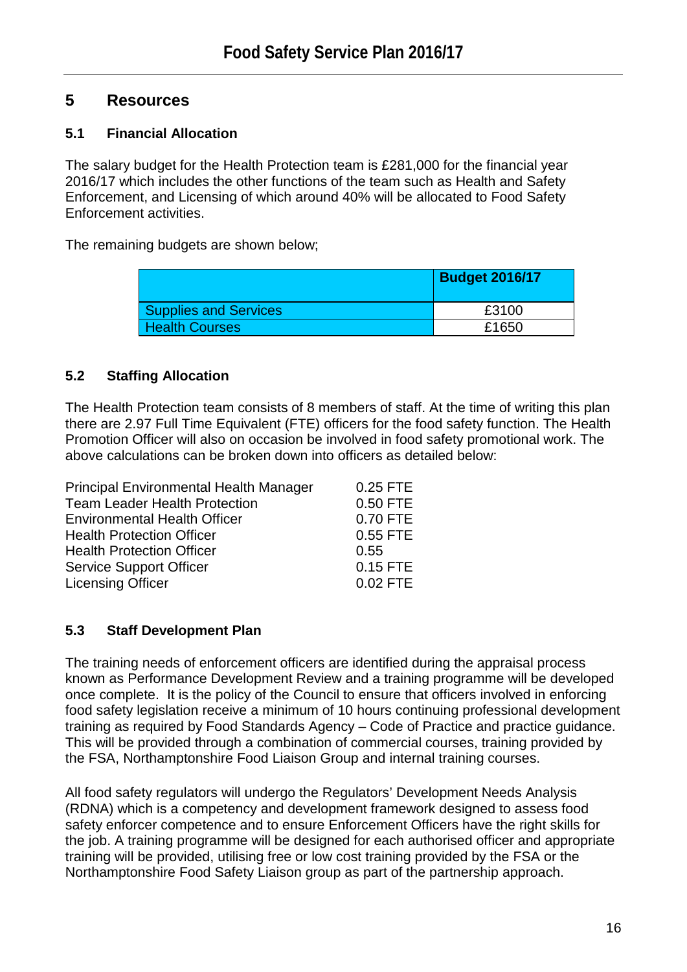# **5 Resources**

# **5.1 Financial Allocation**

The salary budget for the Health Protection team is £281,000 for the financial year 2016/17 which includes the other functions of the team such as Health and Safety Enforcement, and Licensing of which around 40% will be allocated to Food Safety Enforcement activities.

The remaining budgets are shown below;

|                              | <b>Budget 2016/17</b> |
|------------------------------|-----------------------|
| <b>Supplies and Services</b> | £3100                 |
| <b>Health Courses</b>        | £1650                 |

# **5.2 Staffing Allocation**

The Health Protection team consists of 8 members of staff. At the time of writing this plan there are 2.97 Full Time Equivalent (FTE) officers for the food safety function. The Health Promotion Officer will also on occasion be involved in food safety promotional work. The above calculations can be broken down into officers as detailed below:

| <b>Principal Environmental Health Manager</b> | 0.25 FTE   |
|-----------------------------------------------|------------|
| <b>Team Leader Health Protection</b>          | 0.50 FTE   |
| <b>Environmental Health Officer</b>           | 0.70 FTE   |
| <b>Health Protection Officer</b>              | 0.55 FTE   |
| <b>Health Protection Officer</b>              | 0.55       |
| <b>Service Support Officer</b>                | 0.15 FTE   |
| <b>Licensing Officer</b>                      | $0.02$ FTE |

# **5.3 Staff Development Plan**

The training needs of enforcement officers are identified during the appraisal process known as Performance Development Review and a training programme will be developed once complete. It is the policy of the Council to ensure that officers involved in enforcing food safety legislation receive a minimum of 10 hours continuing professional development training as required by Food Standards Agency – Code of Practice and practice guidance. This will be provided through a combination of commercial courses, training provided by the FSA, Northamptonshire Food Liaison Group and internal training courses.

All food safety regulators will undergo the Regulators' Development Needs Analysis (RDNA) which is a competency and development framework designed to assess food safety enforcer competence and to ensure Enforcement Officers have the right skills for the job. A training programme will be designed for each authorised officer and appropriate training will be provided, utilising free or low cost training provided by the FSA or the Northamptonshire Food Safety Liaison group as part of the partnership approach.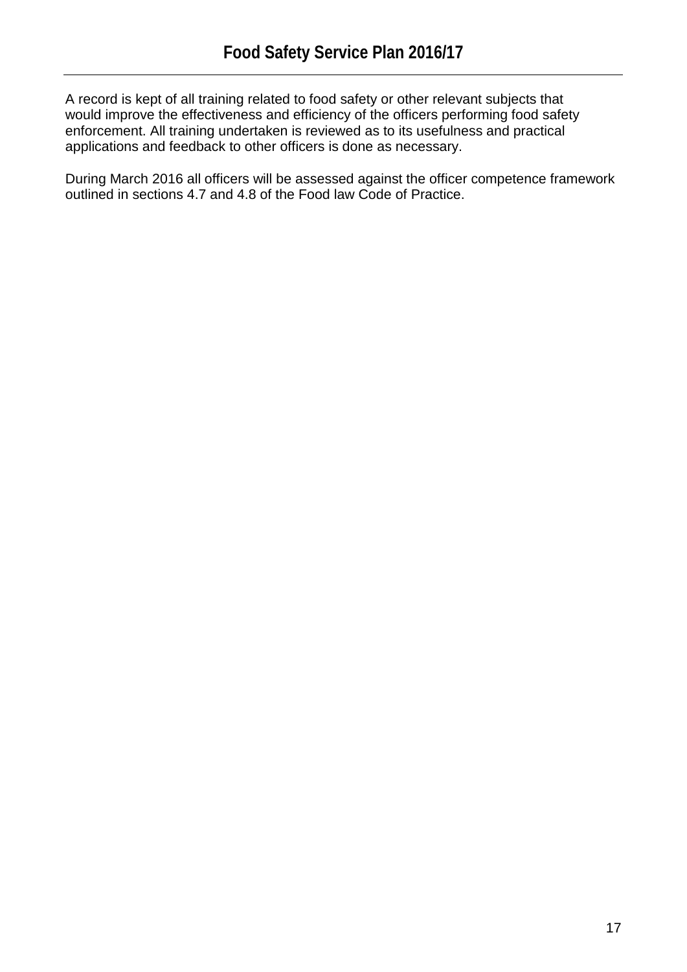A record is kept of all training related to food safety or other relevant subjects that would improve the effectiveness and efficiency of the officers performing food safety enforcement. All training undertaken is reviewed as to its usefulness and practical applications and feedback to other officers is done as necessary.

During March 2016 all officers will be assessed against the officer competence framework outlined in sections 4.7 and 4.8 of the Food law Code of Practice.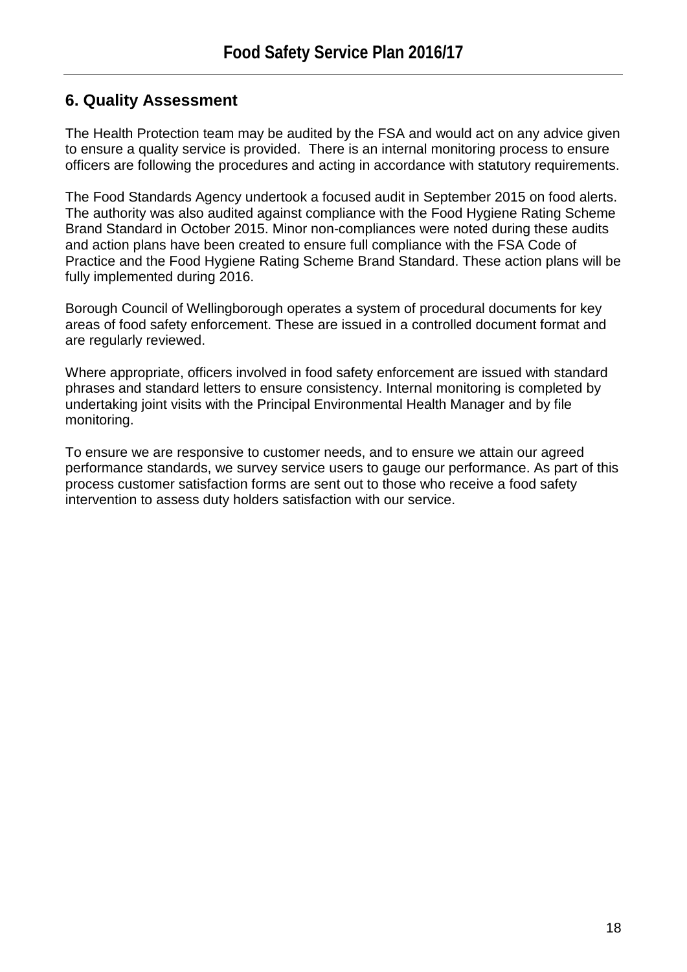# **6. Quality Assessment**

The Health Protection team may be audited by the FSA and would act on any advice given to ensure a quality service is provided. There is an internal monitoring process to ensure officers are following the procedures and acting in accordance with statutory requirements.

The Food Standards Agency undertook a focused audit in September 2015 on food alerts. The authority was also audited against compliance with the Food Hygiene Rating Scheme Brand Standard in October 2015. Minor non-compliances were noted during these audits and action plans have been created to ensure full compliance with the FSA Code of Practice and the Food Hygiene Rating Scheme Brand Standard. These action plans will be fully implemented during 2016.

Borough Council of Wellingborough operates a system of procedural documents for key areas of food safety enforcement. These are issued in a controlled document format and are regularly reviewed.

Where appropriate, officers involved in food safety enforcement are issued with standard phrases and standard letters to ensure consistency. Internal monitoring is completed by undertaking joint visits with the Principal Environmental Health Manager and by file monitoring.

To ensure we are responsive to customer needs, and to ensure we attain our agreed performance standards, we survey service users to gauge our performance. As part of this process customer satisfaction forms are sent out to those who receive a food safety intervention to assess duty holders satisfaction with our service.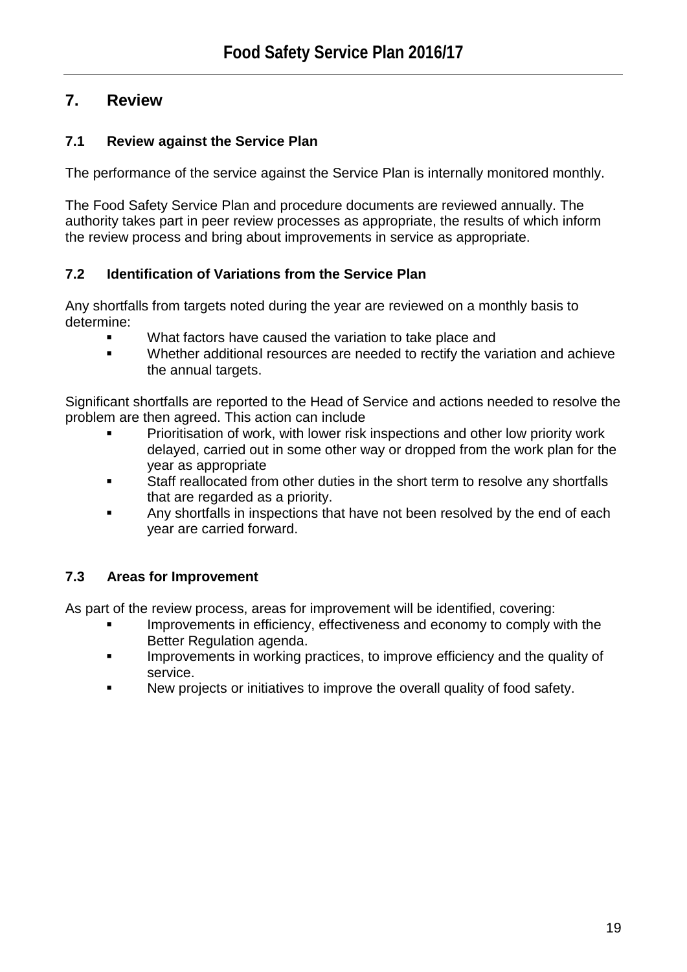# **7. Review**

# **7.1 Review against the Service Plan**

The performance of the service against the Service Plan is internally monitored monthly.

The Food Safety Service Plan and procedure documents are reviewed annually. The authority takes part in peer review processes as appropriate, the results of which inform the review process and bring about improvements in service as appropriate.

# **7.2 Identification of Variations from the Service Plan**

Any shortfalls from targets noted during the year are reviewed on a monthly basis to determine:

- What factors have caused the variation to take place and
- Whether additional resources are needed to rectify the variation and achieve the annual targets.

Significant shortfalls are reported to the Head of Service and actions needed to resolve the problem are then agreed. This action can include

- Prioritisation of work, with lower risk inspections and other low priority work delayed, carried out in some other way or dropped from the work plan for the year as appropriate
- Staff reallocated from other duties in the short term to resolve any shortfalls that are regarded as a priority.
- Any shortfalls in inspections that have not been resolved by the end of each year are carried forward.

# **7.3 Areas for Improvement**

As part of the review process, areas for improvement will be identified, covering:

- Improvements in efficiency, effectiveness and economy to comply with the Better Regulation agenda.
- Improvements in working practices, to improve efficiency and the quality of service.
- New projects or initiatives to improve the overall quality of food safety.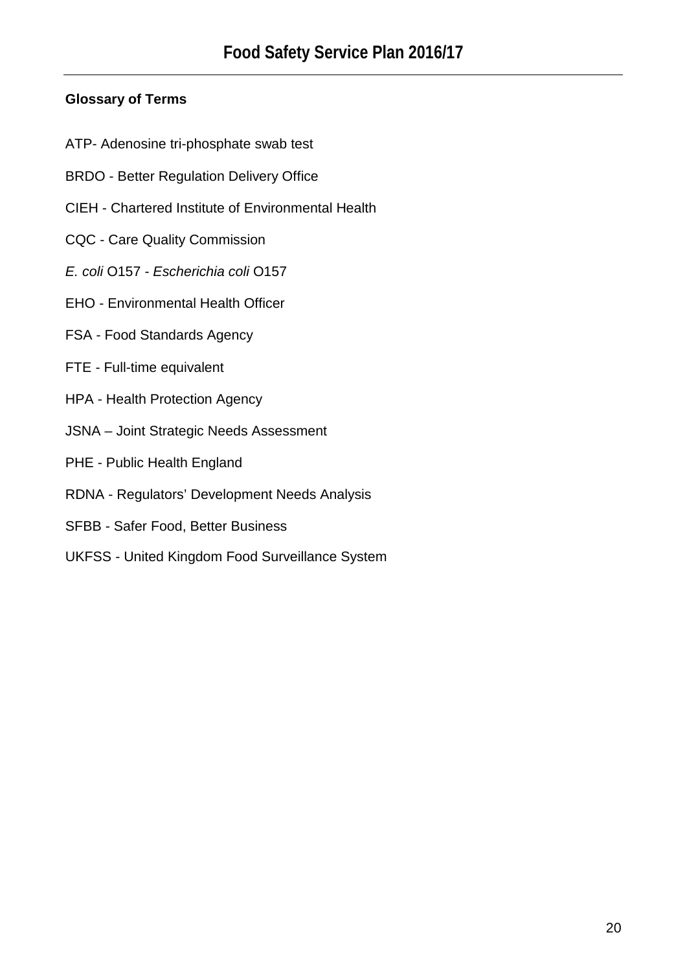# **Glossary of Terms**

- ATP- Adenosine tri-phosphate swab test
- BRDO Better Regulation Delivery Office
- CIEH Chartered Institute of Environmental Health
- CQC Care Quality Commission
- *E. coli* O157 *Escherichia coli* O157
- EHO Environmental Health Officer
- FSA Food Standards Agency
- FTE Full-time equivalent
- HPA Health Protection Agency
- JSNA Joint Strategic Needs Assessment
- PHE Public Health England
- RDNA Regulators' Development Needs Analysis
- SFBB Safer Food, Better Business
- UKFSS United Kingdom Food Surveillance System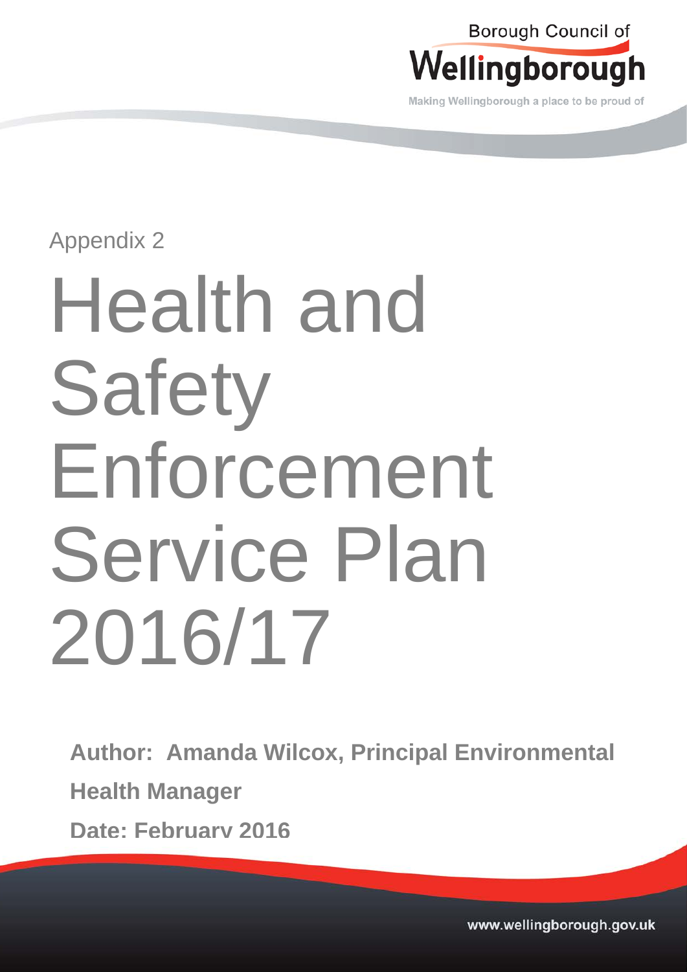

Making Wellingborough a place to be proud of

# Appendix 2

# Health and **Safety** Enforcement Service Plan 2016/17

**Author: Amanda Wilcox, Principal Environmental Health Manager Date: February 2016**

> www.wellingborough.gov.uk Tel: 01933 22977 DX 12977 DX 12977 DX 12977 DX 12877 DX 12877 Www.wellingborough.gov.uk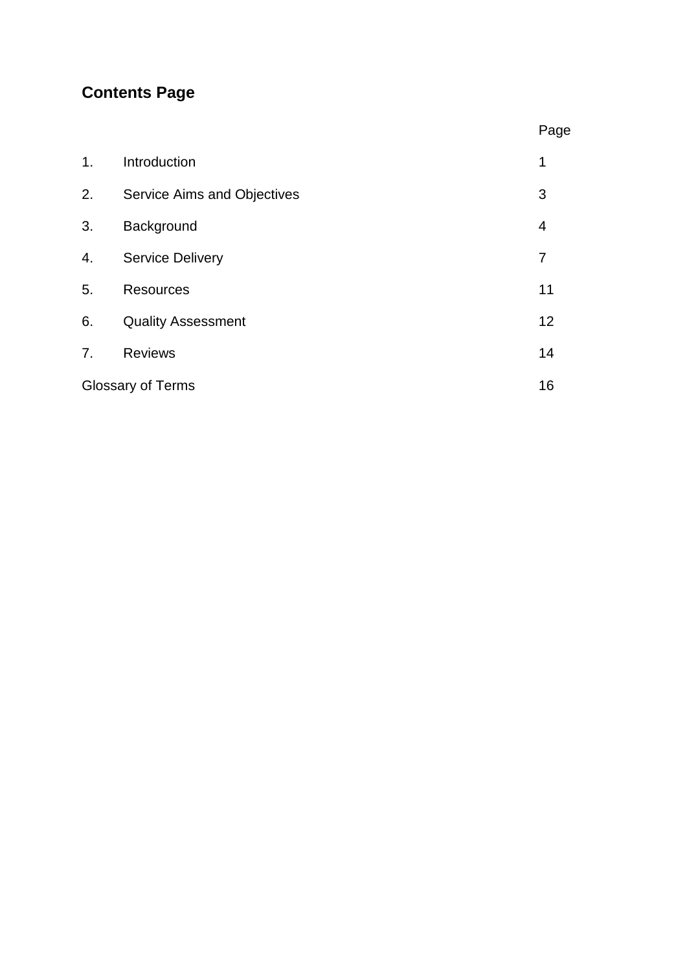# **Contents Page**

|    |                             | Page           |
|----|-----------------------------|----------------|
| 1. | Introduction                | 1              |
| 2. | Service Aims and Objectives | 3              |
| 3. | Background                  | $\overline{4}$ |
| 4. | <b>Service Delivery</b>     | 7              |
| 5. | <b>Resources</b>            | 11             |
| 6. | <b>Quality Assessment</b>   | 12             |
| 7. | <b>Reviews</b>              | 14             |
|    | <b>Glossary of Terms</b>    | 16             |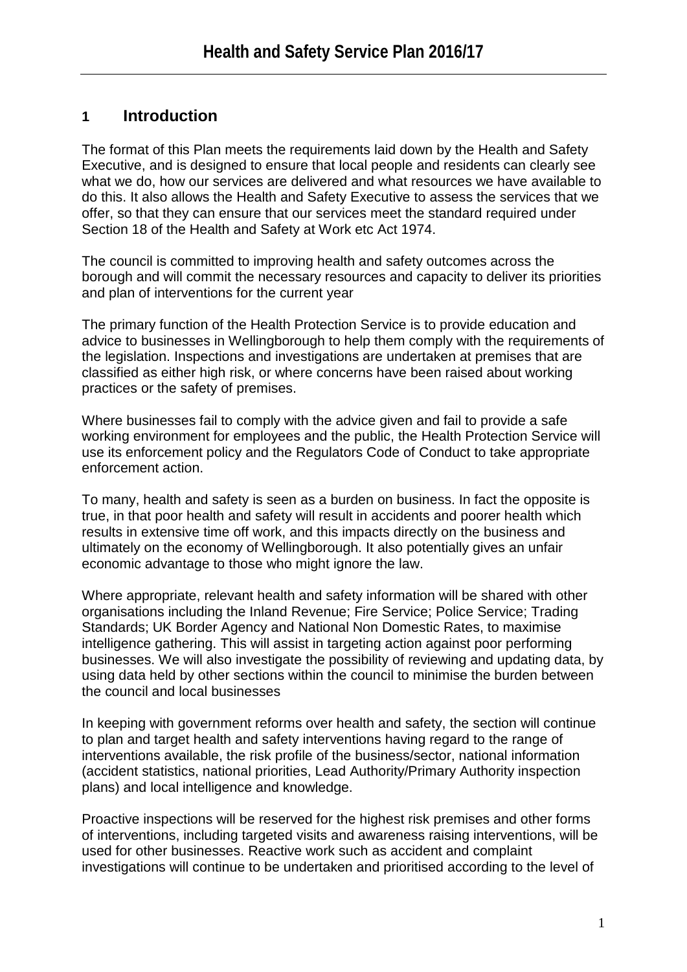# **1 Introduction**

The format of this Plan meets the requirements laid down by the Health and Safety Executive, and is designed to ensure that local people and residents can clearly see what we do, how our services are delivered and what resources we have available to do this. It also allows the Health and Safety Executive to assess the services that we offer, so that they can ensure that our services meet the standard required under Section 18 of the Health and Safety at Work etc Act 1974.

The council is committed to improving health and safety outcomes across the borough and will commit the necessary resources and capacity to deliver its priorities and plan of interventions for the current year

The primary function of the Health Protection Service is to provide education and advice to businesses in Wellingborough to help them comply with the requirements of the legislation. Inspections and investigations are undertaken at premises that are classified as either high risk, or where concerns have been raised about working practices or the safety of premises.

Where businesses fail to comply with the advice given and fail to provide a safe working environment for employees and the public, the Health Protection Service will use its enforcement policy and the Regulators Code of Conduct to take appropriate enforcement action.

To many, health and safety is seen as a burden on business. In fact the opposite is true, in that poor health and safety will result in accidents and poorer health which results in extensive time off work, and this impacts directly on the business and ultimately on the economy of Wellingborough. It also potentially gives an unfair economic advantage to those who might ignore the law.

Where appropriate, relevant health and safety information will be shared with other organisations including the Inland Revenue; Fire Service; Police Service; Trading Standards; UK Border Agency and National Non Domestic Rates, to maximise intelligence gathering. This will assist in targeting action against poor performing businesses. We will also investigate the possibility of reviewing and updating data, by using data held by other sections within the council to minimise the burden between the council and local businesses

In keeping with government reforms over health and safety, the section will continue to plan and target health and safety interventions having regard to the range of interventions available, the risk profile of the business/sector, national information (accident statistics, national priorities, Lead Authority/Primary Authority inspection plans) and local intelligence and knowledge.

Proactive inspections will be reserved for the highest risk premises and other forms of interventions, including targeted visits and awareness raising interventions, will be used for other businesses. Reactive work such as accident and complaint investigations will continue to be undertaken and prioritised according to the level of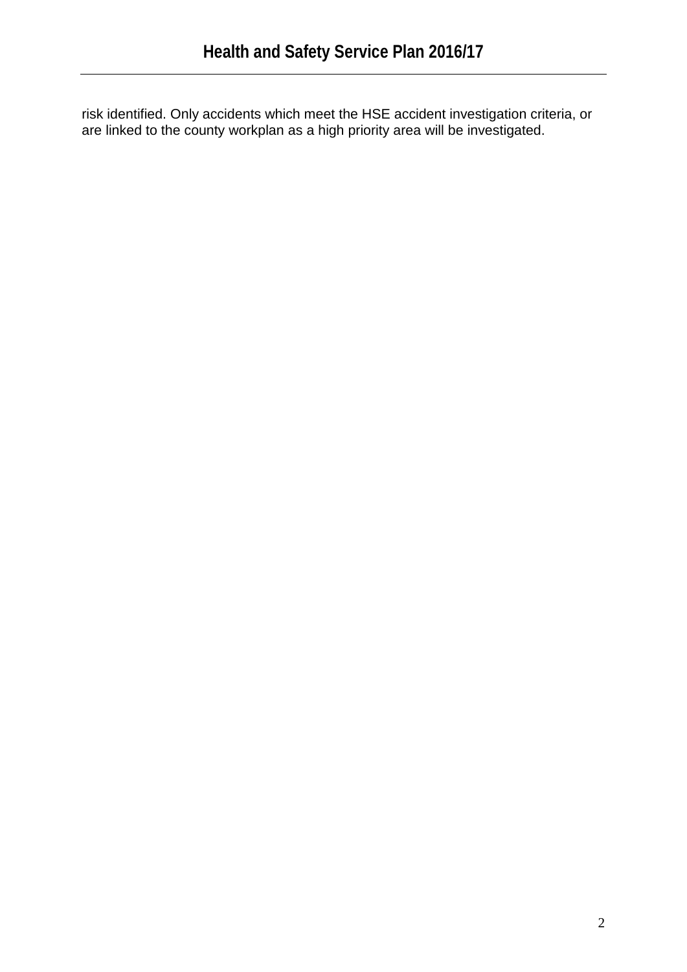risk identified. Only accidents which meet the HSE accident investigation criteria, or are linked to the county workplan as a high priority area will be investigated.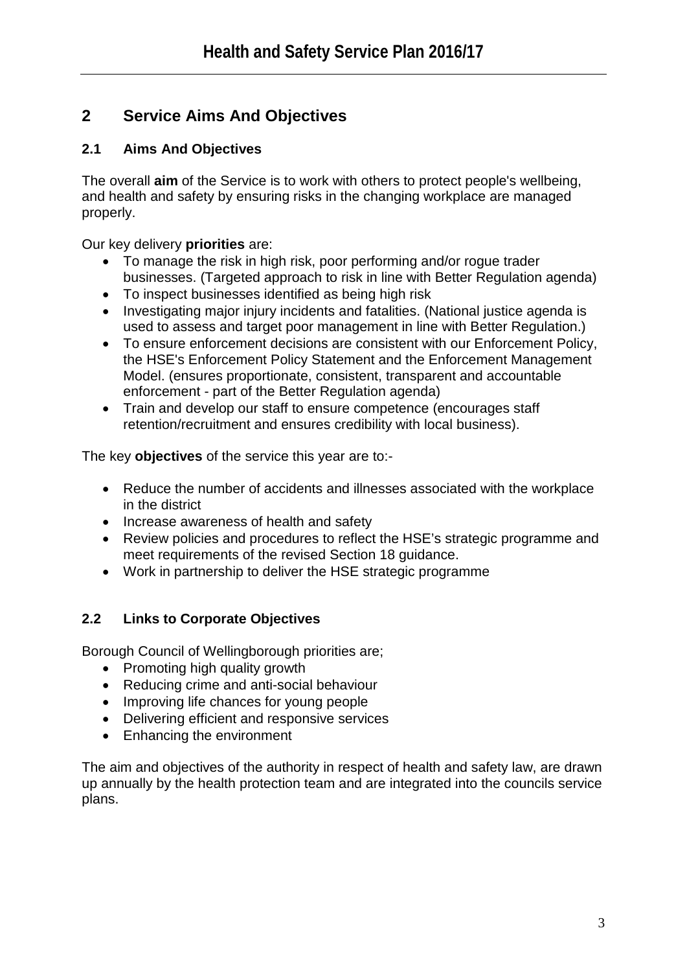# **2 Service Aims And Objectives**

# **2.1 Aims And Objectives**

The overall **aim** of the Service is to work with others to protect people's wellbeing, and health and safety by ensuring risks in the changing workplace are managed properly.

Our key delivery **priorities** are:

- To manage the risk in high risk, poor performing and/or roque trader businesses. (Targeted approach to risk in line with Better Regulation agenda)
- To inspect businesses identified as being high risk
- Investigating major injury incidents and fatalities. (National justice agenda is used to assess and target poor management in line with Better Regulation.)
- To ensure enforcement decisions are consistent with our Enforcement Policy, the HSE's Enforcement Policy Statement and the Enforcement Management Model. (ensures proportionate, consistent, transparent and accountable enforcement - part of the Better Regulation agenda)
- Train and develop our staff to ensure competence (encourages staff retention/recruitment and ensures credibility with local business).

The key **objectives** of the service this year are to:-

- Reduce the number of accidents and illnesses associated with the workplace in the district
- Increase awareness of health and safety
- Review policies and procedures to reflect the HSE's strategic programme and meet requirements of the revised Section 18 guidance.
- Work in partnership to deliver the HSE strategic programme

# **2.2 Links to Corporate Objectives**

Borough Council of Wellingborough priorities are;

- Promoting high quality growth
- Reducing crime and anti-social behaviour
- Improving life chances for young people
- Delivering efficient and responsive services
- Enhancing the environment

The aim and objectives of the authority in respect of health and safety law, are drawn up annually by the health protection team and are integrated into the councils service plans.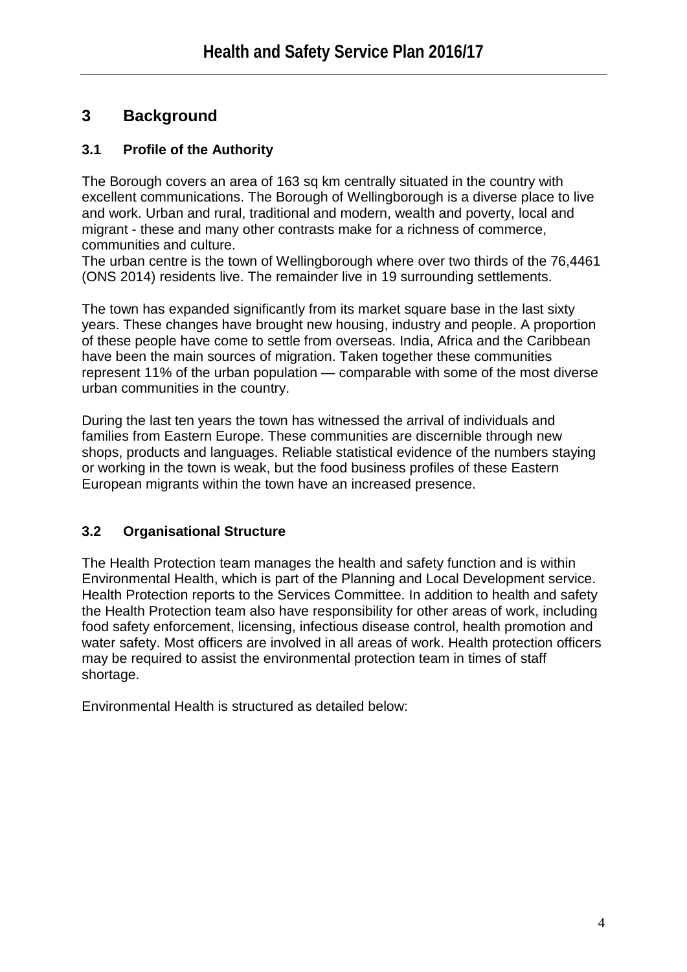# **3 Background**

# **3.1 Profile of the Authority**

The Borough covers an area of 163 sq km centrally situated in the country with excellent communications. The Borough of Wellingborough is a diverse place to live and work. Urban and rural, traditional and modern, wealth and poverty, local and migrant - these and many other contrasts make for a richness of commerce, communities and culture.

The urban centre is the town of Wellingborough where over two thirds of the 76,4461 (ONS 2014) residents live. The remainder live in 19 surrounding settlements.

The town has expanded significantly from its market square base in the last sixty years. These changes have brought new housing, industry and people. A proportion of these people have come to settle from overseas. India, Africa and the Caribbean have been the main sources of migration. Taken together these communities represent 11% of the urban population — comparable with some of the most diverse urban communities in the country.

During the last ten years the town has witnessed the arrival of individuals and families from Eastern Europe. These communities are discernible through new shops, products and languages. Reliable statistical evidence of the numbers staying or working in the town is weak, but the food business profiles of these Eastern European migrants within the town have an increased presence.

# **3.2 Organisational Structure**

The Health Protection team manages the health and safety function and is within Environmental Health, which is part of the Planning and Local Development service. Health Protection reports to the Services Committee. In addition to health and safety the Health Protection team also have responsibility for other areas of work, including food safety enforcement, licensing, infectious disease control, health promotion and water safety. Most officers are involved in all areas of work. Health protection officers may be required to assist the environmental protection team in times of staff shortage.

Environmental Health is structured as detailed below: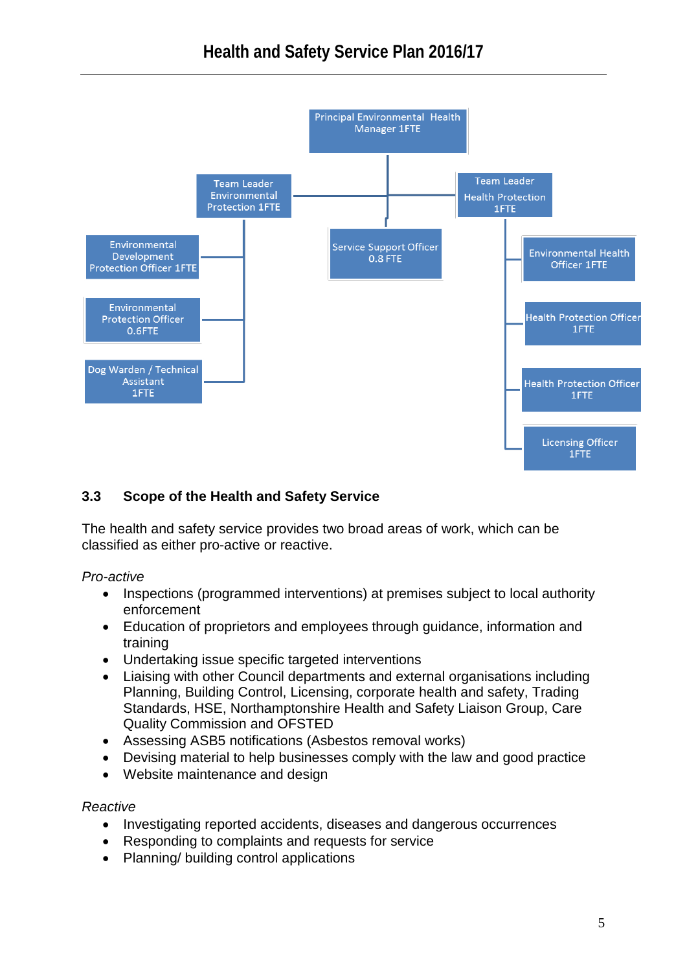

# **3.3 Scope of the Health and Safety Service**

The health and safety service provides two broad areas of work, which can be classified as either pro-active or reactive.

### *Pro-active*

- Inspections (programmed interventions) at premises subject to local authority enforcement
- Education of proprietors and employees through guidance, information and training
- Undertaking issue specific targeted interventions
- Liaising with other Council departments and external organisations including Planning, Building Control, Licensing, corporate health and safety, Trading Standards, HSE, Northamptonshire Health and Safety Liaison Group, Care Quality Commission and OFSTED
- Assessing ASB5 notifications (Asbestos removal works)
- Devising material to help businesses comply with the law and good practice
- Website maintenance and design

### *Reactive*

- Investigating reported accidents, diseases and dangerous occurrences
- Responding to complaints and requests for service
- Planning/ building control applications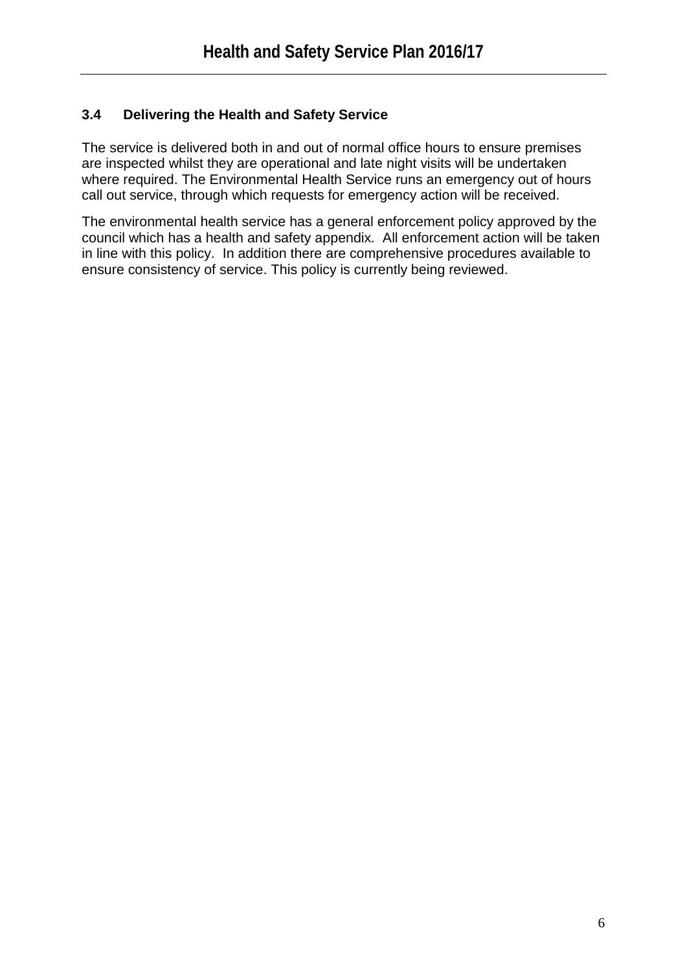# **3.4 Delivering the Health and Safety Service**

The service is delivered both in and out of normal office hours to ensure premises are inspected whilst they are operational and late night visits will be undertaken where required. The Environmental Health Service runs an emergency out of hours call out service, through which requests for emergency action will be received.

The environmental health service has a general enforcement policy approved by the council which has a health and safety appendix. All enforcement action will be taken in line with this policy. In addition there are comprehensive procedures available to ensure consistency of service. This policy is currently being reviewed.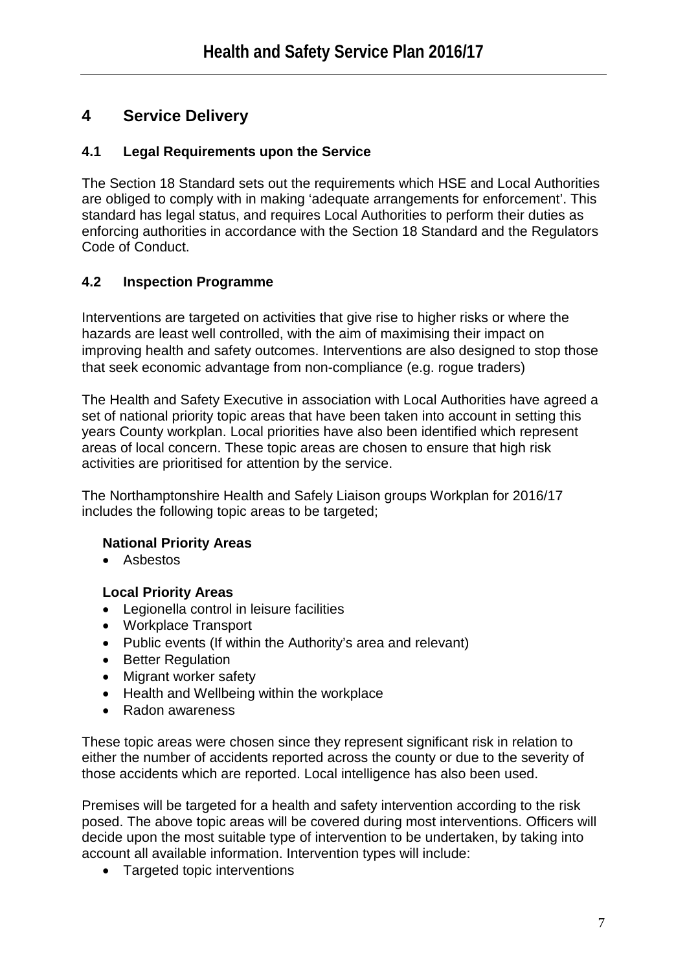# **4 Service Delivery**

# **4.1 Legal Requirements upon the Service**

The Section 18 Standard sets out the requirements which HSE and Local Authorities are obliged to comply with in making 'adequate arrangements for enforcement'. This standard has legal status, and requires Local Authorities to perform their duties as enforcing authorities in accordance with the Section 18 Standard and the Regulators Code of Conduct.

# **4.2 Inspection Programme**

Interventions are targeted on activities that give rise to higher risks or where the hazards are least well controlled, with the aim of maximising their impact on improving health and safety outcomes. Interventions are also designed to stop those that seek economic advantage from non-compliance (e.g. rogue traders)

The Health and Safety Executive in association with Local Authorities have agreed a set of national priority topic areas that have been taken into account in setting this years County workplan. Local priorities have also been identified which represent areas of local concern. These topic areas are chosen to ensure that high risk activities are prioritised for attention by the service.

The Northamptonshire Health and Safely Liaison groups Workplan for 2016/17 includes the following topic areas to be targeted;

# **National Priority Areas**

• Asbestos

# **Local Priority Areas**

- Legionella control in leisure facilities
- Workplace Transport
- Public events (If within the Authority's area and relevant)
- Better Regulation
- Migrant worker safety
- Health and Wellbeing within the workplace
- Radon awareness

These topic areas were chosen since they represent significant risk in relation to either the number of accidents reported across the county or due to the severity of those accidents which are reported. Local intelligence has also been used.

Premises will be targeted for a health and safety intervention according to the risk posed. The above topic areas will be covered during most interventions. Officers will decide upon the most suitable type of intervention to be undertaken, by taking into account all available information. Intervention types will include:

• Targeted topic interventions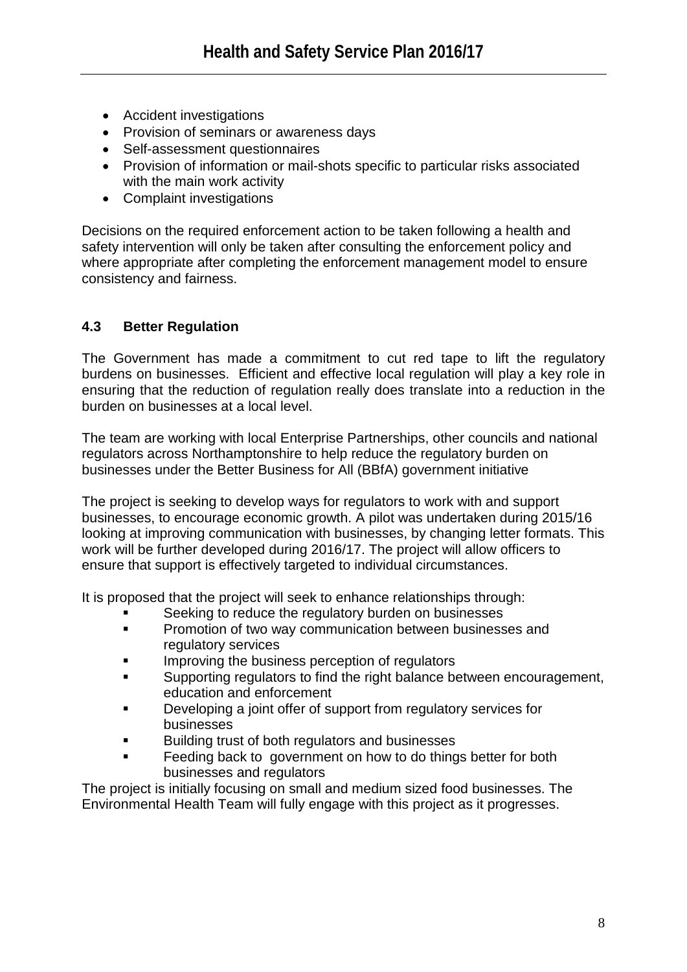- Accident investigations
- Provision of seminars or awareness days
- Self-assessment questionnaires
- Provision of information or mail-shots specific to particular risks associated with the main work activity
- Complaint investigations

Decisions on the required enforcement action to be taken following a health and safety intervention will only be taken after consulting the enforcement policy and where appropriate after completing the enforcement management model to ensure consistency and fairness.

# **4.3 Better Regulation**

The Government has made a commitment to cut red tape to lift the regulatory burdens on businesses. Efficient and effective local regulation will play a key role in ensuring that the reduction of regulation really does translate into a reduction in the burden on businesses at a local level.

The team are working with local Enterprise Partnerships, other councils and national regulators across Northamptonshire to help reduce the regulatory burden on businesses under the Better Business for All (BBfA) government initiative

The project is seeking to develop ways for regulators to work with and support businesses, to encourage economic growth. A pilot was undertaken during 2015/16 looking at improving communication with businesses, by changing letter formats. This work will be further developed during 2016/17. The project will allow officers to ensure that support is effectively targeted to individual circumstances.

It is proposed that the project will seek to enhance relationships through:

- Seeking to reduce the regulatory burden on businesses
- **Promotion of two way communication between businesses and** regulatory services
- Improving the business perception of regulators
- Supporting regulators to find the right balance between encouragement, education and enforcement
- Developing a joint offer of support from regulatory services for businesses
- **Building trust of both regulators and businesses**
- **Feeding back to government on how to do things better for both** businesses and regulators

The project is initially focusing on small and medium sized food businesses. The Environmental Health Team will fully engage with this project as it progresses.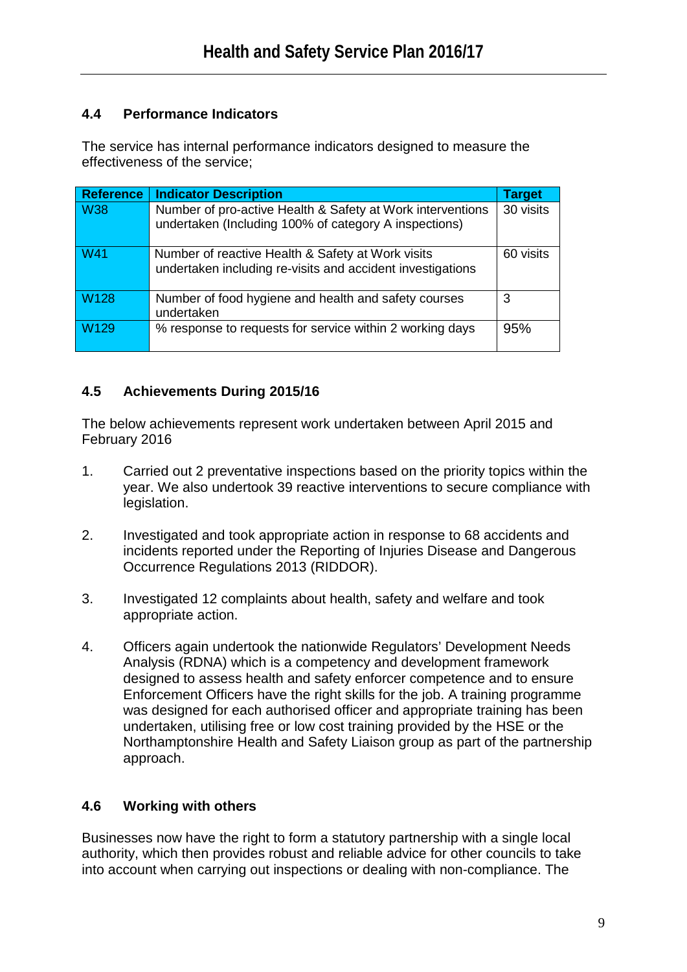# **4.4 Performance Indicators**

The service has internal performance indicators designed to measure the effectiveness of the service;

| <b>Reference</b> | <b>Indicator Description</b>                                                                                        | <b>Target</b> |
|------------------|---------------------------------------------------------------------------------------------------------------------|---------------|
| <b>W38</b>       | Number of pro-active Health & Safety at Work interventions<br>undertaken (Including 100% of category A inspections) | 30 visits     |
| <b>W41</b>       | Number of reactive Health & Safety at Work visits<br>undertaken including re-visits and accident investigations     | 60 visits     |
| <b>W128</b>      | Number of food hygiene and health and safety courses<br>undertaken                                                  | 3             |
| W <sub>129</sub> | % response to requests for service within 2 working days                                                            | 95%           |

# **4.5 Achievements During 2015/16**

The below achievements represent work undertaken between April 2015 and February 2016

- 1. Carried out 2 preventative inspections based on the priority topics within the year. We also undertook 39 reactive interventions to secure compliance with legislation.
- 2. Investigated and took appropriate action in response to 68 accidents and incidents reported under the Reporting of Injuries Disease and Dangerous Occurrence Regulations 2013 (RIDDOR).
- 3. Investigated 12 complaints about health, safety and welfare and took appropriate action.
- 4. Officers again undertook the nationwide Regulators' Development Needs Analysis (RDNA) which is a competency and development framework designed to assess health and safety enforcer competence and to ensure Enforcement Officers have the right skills for the job. A training programme was designed for each authorised officer and appropriate training has been undertaken, utilising free or low cost training provided by the HSE or the Northamptonshire Health and Safety Liaison group as part of the partnership approach.

# **4.6 Working with others**

Businesses now have the right to form a statutory partnership with a single local authority, which then provides robust and reliable advice for other councils to take into account when carrying out inspections or dealing with non-compliance. The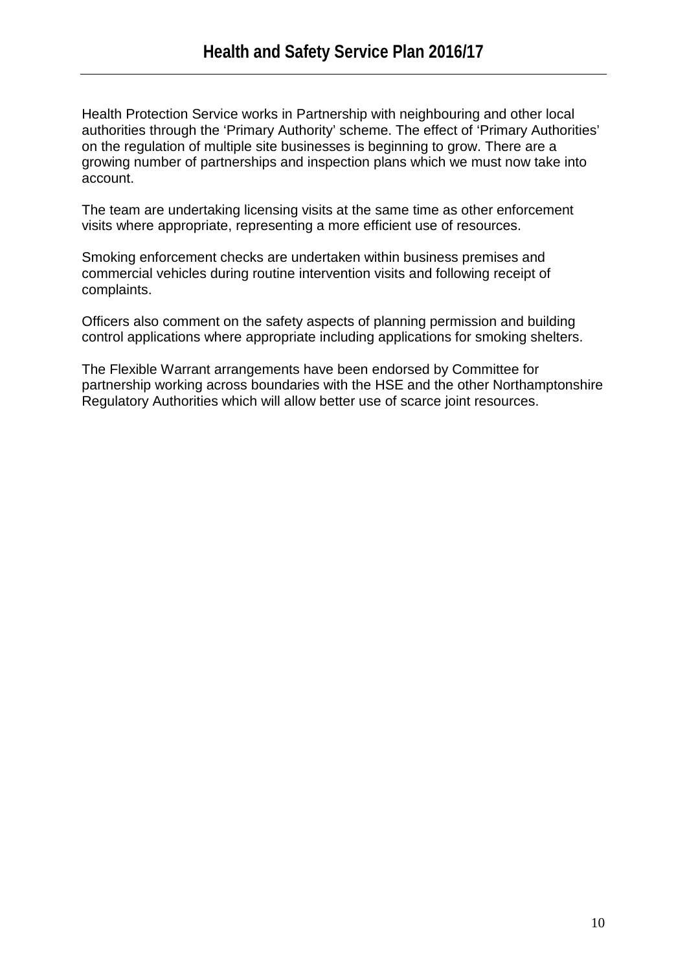Health Protection Service works in Partnership with neighbouring and other local authorities through the 'Primary Authority' scheme. The effect of 'Primary Authorities' on the regulation of multiple site businesses is beginning to grow. There are a growing number of partnerships and inspection plans which we must now take into account.

The team are undertaking licensing visits at the same time as other enforcement visits where appropriate, representing a more efficient use of resources.

Smoking enforcement checks are undertaken within business premises and commercial vehicles during routine intervention visits and following receipt of complaints.

Officers also comment on the safety aspects of planning permission and building control applications where appropriate including applications for smoking shelters.

The Flexible Warrant arrangements have been endorsed by Committee for partnership working across boundaries with the HSE and the other Northamptonshire Regulatory Authorities which will allow better use of scarce joint resources.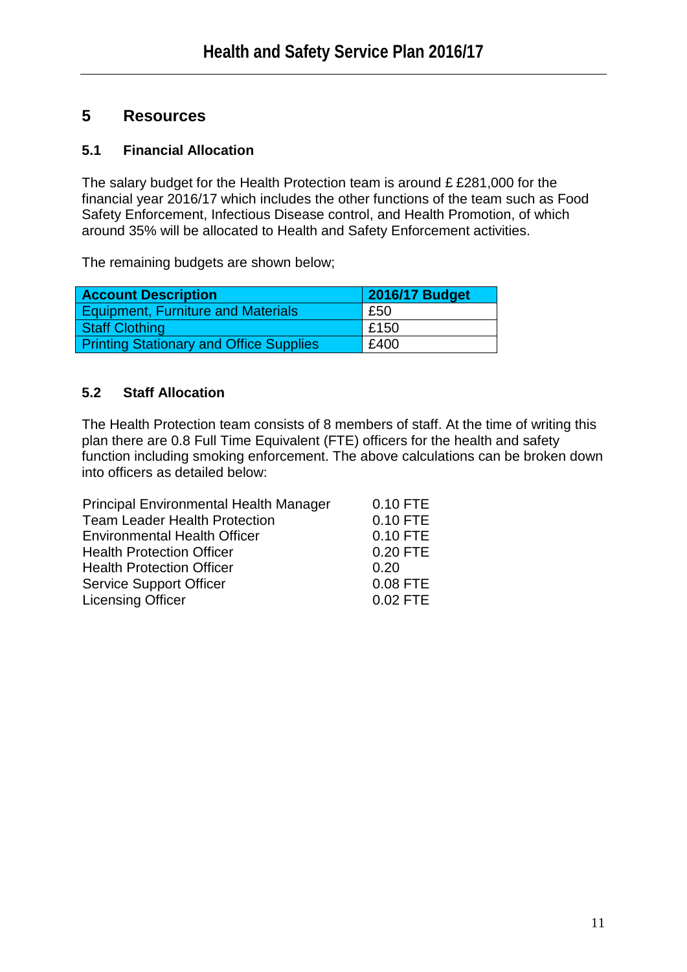# **5 Resources**

# **5.1 Financial Allocation**

The salary budget for the Health Protection team is around £ £281,000 for the financial year 2016/17 which includes the other functions of the team such as Food Safety Enforcement, Infectious Disease control, and Health Promotion, of which around 35% will be allocated to Health and Safety Enforcement activities.

The remaining budgets are shown below;

| <b>Account Description</b>                     | <b>2016/17 Budget</b> |
|------------------------------------------------|-----------------------|
| <b>Equipment, Furniture and Materials</b>      | £50                   |
| <b>Staff Clothing</b>                          | £150                  |
| <b>Printing Stationary and Office Supplies</b> | £400                  |

# **5.2 Staff Allocation**

The Health Protection team consists of 8 members of staff. At the time of writing this plan there are 0.8 Full Time Equivalent (FTE) officers for the health and safety function including smoking enforcement. The above calculations can be broken down into officers as detailed below:

| <b>Principal Environmental Health Manager</b> | 0.10 FTE   |
|-----------------------------------------------|------------|
| <b>Team Leader Health Protection</b>          | 0.10 FTE   |
| <b>Environmental Health Officer</b>           | 0.10 FTE   |
| <b>Health Protection Officer</b>              | 0.20 FTE   |
| <b>Health Protection Officer</b>              | 0.20       |
| <b>Service Support Officer</b>                | 0.08 FTE   |
| <b>Licensing Officer</b>                      | $0.02$ FTE |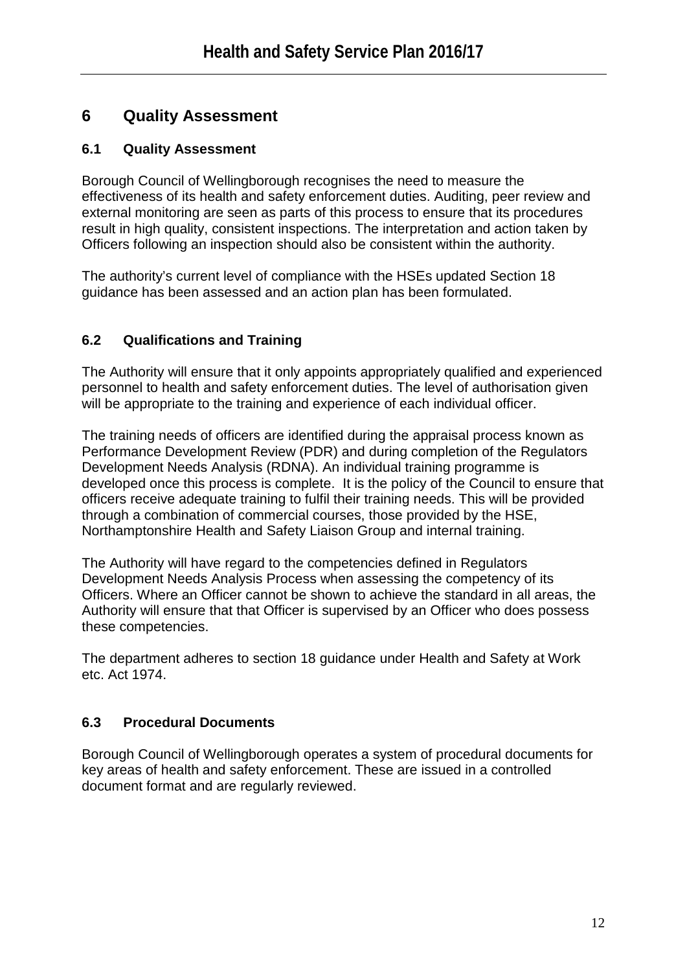# **6 Quality Assessment**

# **6.1 Quality Assessment**

Borough Council of Wellingborough recognises the need to measure the effectiveness of its health and safety enforcement duties. Auditing, peer review and external monitoring are seen as parts of this process to ensure that its procedures result in high quality, consistent inspections. The interpretation and action taken by Officers following an inspection should also be consistent within the authority.

The authority's current level of compliance with the HSEs updated Section 18 guidance has been assessed and an action plan has been formulated.

# **6.2 Qualifications and Training**

The Authority will ensure that it only appoints appropriately qualified and experienced personnel to health and safety enforcement duties. The level of authorisation given will be appropriate to the training and experience of each individual officer.

The training needs of officers are identified during the appraisal process known as Performance Development Review (PDR) and during completion of the Regulators Development Needs Analysis (RDNA). An individual training programme is developed once this process is complete. It is the policy of the Council to ensure that officers receive adequate training to fulfil their training needs. This will be provided through a combination of commercial courses, those provided by the HSE, Northamptonshire Health and Safety Liaison Group and internal training.

The Authority will have regard to the competencies defined in Regulators Development Needs Analysis Process when assessing the competency of its Officers. Where an Officer cannot be shown to achieve the standard in all areas, the Authority will ensure that that Officer is supervised by an Officer who does possess these competencies.

The department adheres to section 18 guidance under Health and Safety at Work etc. Act 1974.

# **6.3 Procedural Documents**

Borough Council of Wellingborough operates a system of procedural documents for key areas of health and safety enforcement. These are issued in a controlled document format and are regularly reviewed.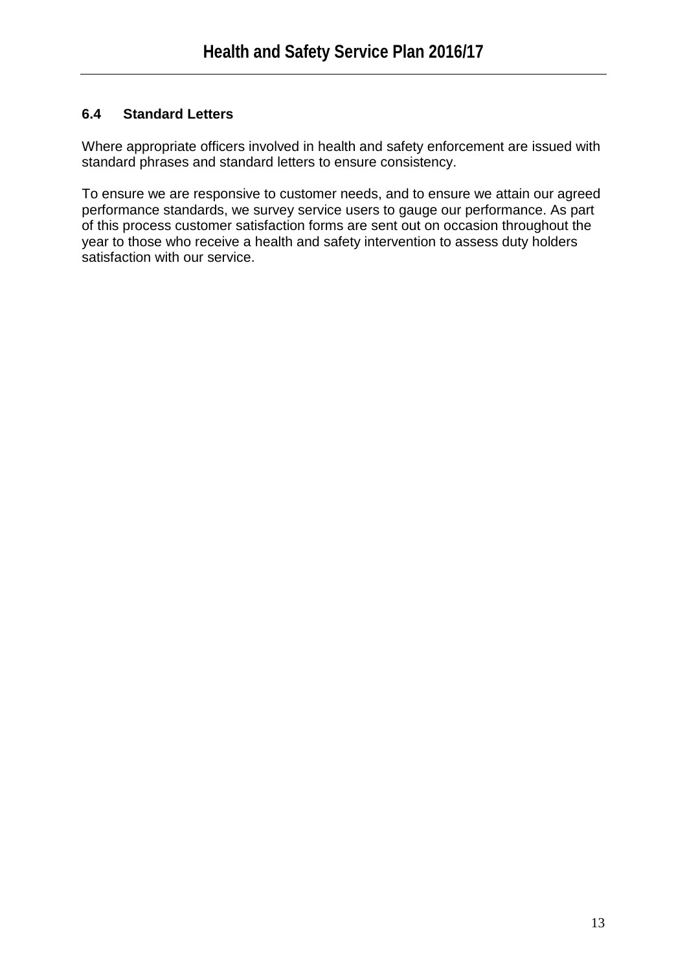# **6.4 Standard Letters**

Where appropriate officers involved in health and safety enforcement are issued with standard phrases and standard letters to ensure consistency.

To ensure we are responsive to customer needs, and to ensure we attain our agreed performance standards, we survey service users to gauge our performance. As part of this process customer satisfaction forms are sent out on occasion throughout the year to those who receive a health and safety intervention to assess duty holders satisfaction with our service.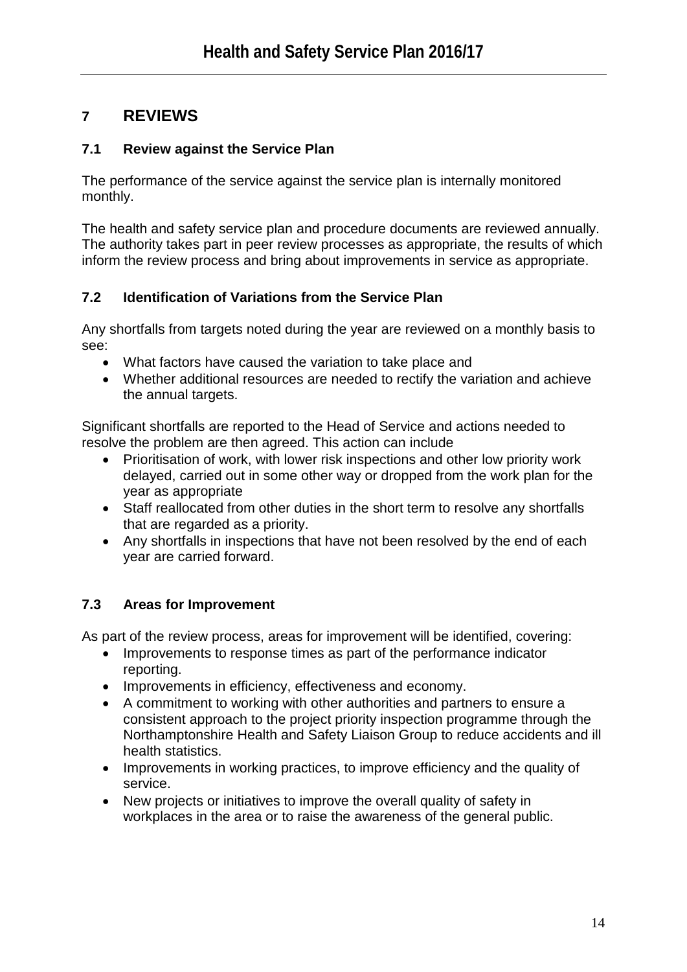# **7 REVIEWS**

# **7.1 Review against the Service Plan**

The performance of the service against the service plan is internally monitored monthly.

The health and safety service plan and procedure documents are reviewed annually. The authority takes part in peer review processes as appropriate, the results of which inform the review process and bring about improvements in service as appropriate.

# **7.2 Identification of Variations from the Service Plan**

Any shortfalls from targets noted during the year are reviewed on a monthly basis to see:

- What factors have caused the variation to take place and
- Whether additional resources are needed to rectify the variation and achieve the annual targets.

Significant shortfalls are reported to the Head of Service and actions needed to resolve the problem are then agreed. This action can include

- Prioritisation of work, with lower risk inspections and other low priority work delayed, carried out in some other way or dropped from the work plan for the year as appropriate
- Staff reallocated from other duties in the short term to resolve any shortfalls that are regarded as a priority.
- Any shortfalls in inspections that have not been resolved by the end of each year are carried forward.

# **7.3 Areas for Improvement**

As part of the review process, areas for improvement will be identified, covering:

- Improvements to response times as part of the performance indicator reporting.
- Improvements in efficiency, effectiveness and economy.
- A commitment to working with other authorities and partners to ensure a consistent approach to the project priority inspection programme through the Northamptonshire Health and Safety Liaison Group to reduce accidents and ill health statistics.
- Improvements in working practices, to improve efficiency and the quality of service.
- New projects or initiatives to improve the overall quality of safety in workplaces in the area or to raise the awareness of the general public.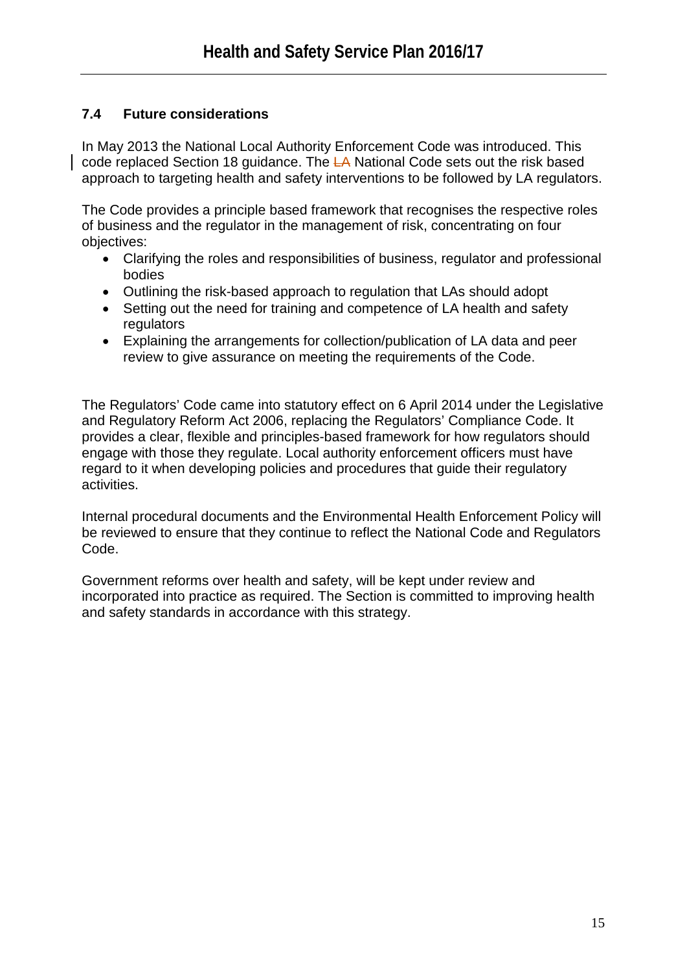# **7.4 Future considerations**

In May 2013 the National Local Authority Enforcement Code was introduced. This code replaced Section 18 guidance. The LA National Code sets out the risk based approach to targeting health and safety interventions to be followed by LA regulators.

The Code provides a principle based framework that recognises the respective roles of business and the regulator in the management of risk, concentrating on four objectives:

- Clarifying the roles and responsibilities of business, regulator and professional bodies
- Outlining the risk-based approach to regulation that LAs should adopt
- Setting out the need for training and competence of LA health and safety **regulators**
- Explaining the arrangements for collection/publication of LA data and peer review to give assurance on meeting the requirements of the Code.

The Regulators' Code came into statutory effect on 6 April 2014 under the Legislative and Regulatory Reform Act 2006, replacing the Regulators' Compliance Code. It provides a clear, flexible and principles-based framework for how regulators should engage with those they regulate. Local authority enforcement officers must have regard to it when developing policies and procedures that guide their regulatory activities.

Internal procedural documents and the Environmental Health Enforcement Policy will be reviewed to ensure that they continue to reflect the National Code and Regulators Code.

Government reforms over health and safety, will be kept under review and incorporated into practice as required. The Section is committed to improving health and safety standards in accordance with this strategy.